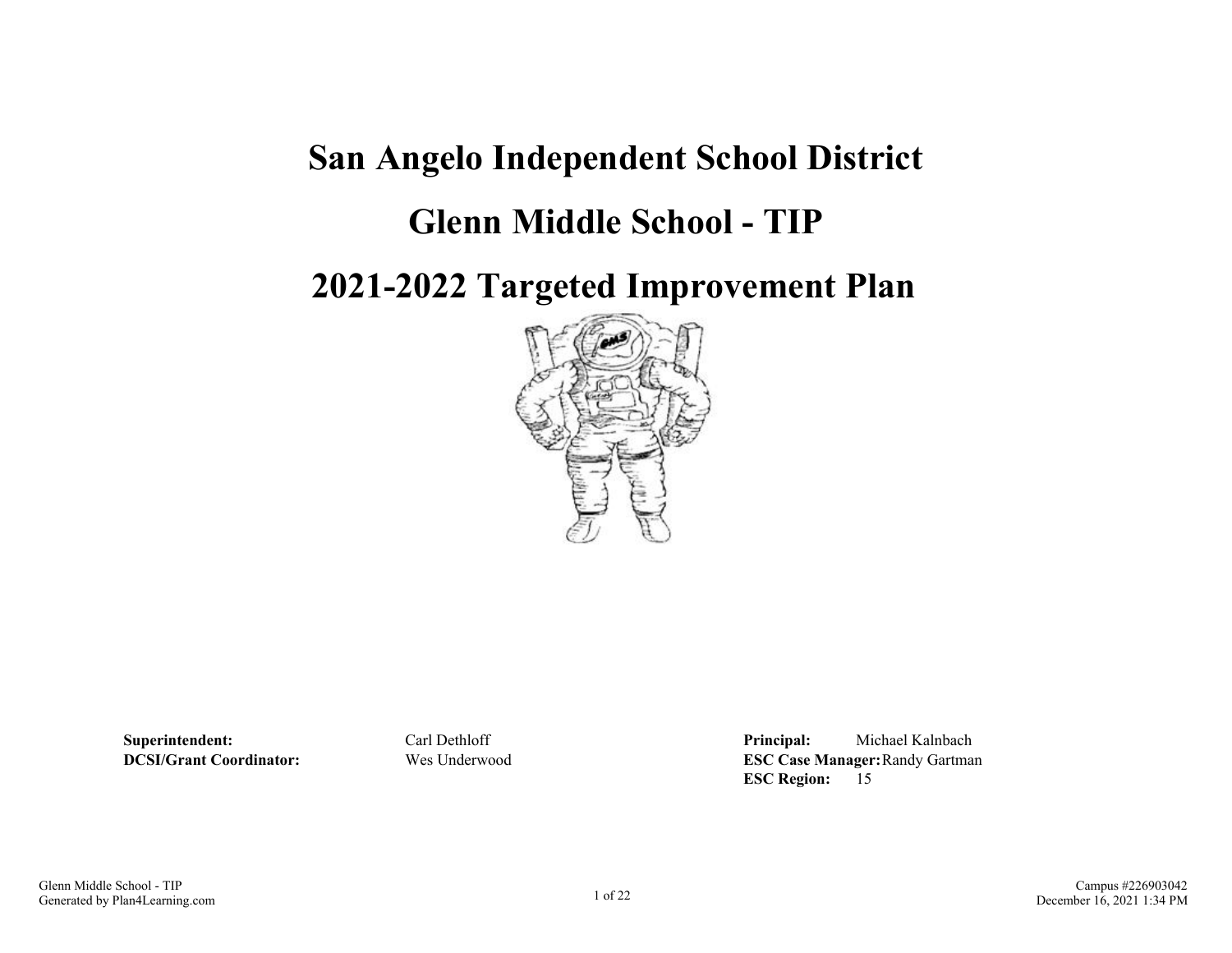## **San Angelo Independent School District**

## **Glenn Middle School - TIP**

**2021-2022 Targeted Improvement Plan**



**Superintendent:** Carl Dethloff **Principal:** Michael Kalnbach **DCSI/Grant Coordinator:** Wes Underwood **ESC Case Manager:**Randy Gartman **ESC Region:** 15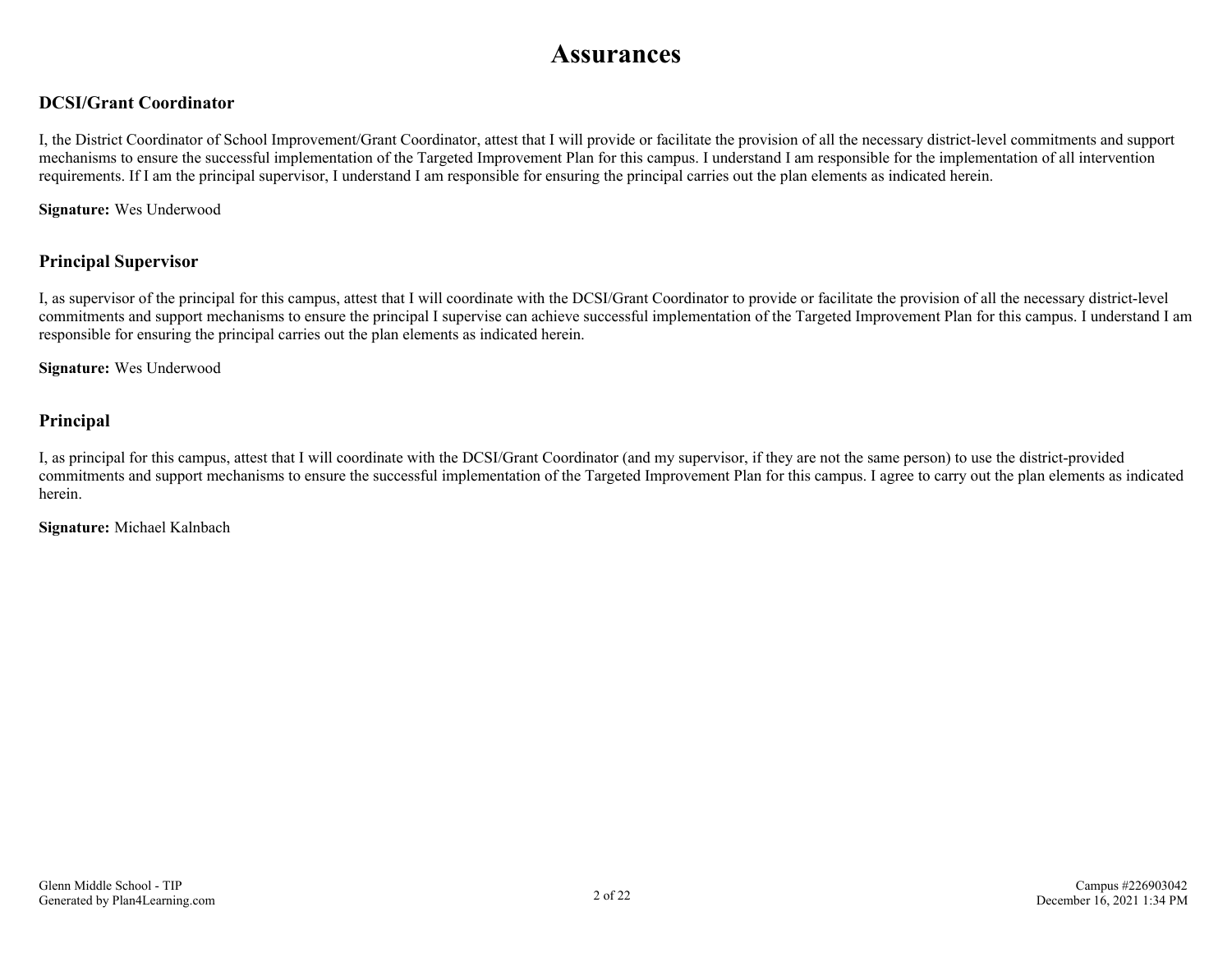## **Assurances**

#### **DCSI/Grant Coordinator**

I, the District Coordinator of School Improvement/Grant Coordinator, attest that I will provide or facilitate the provision of all the necessary district-level commitments and support mechanisms to ensure the successful implementation of the Targeted Improvement Plan for this campus. I understand I am responsible for the implementation of all intervention requirements. If I am the principal supervisor, I understand I am responsible for ensuring the principal carries out the plan elements as indicated herein.

**Signature:** Wes Underwood

#### **Principal Supervisor**

I, as supervisor of the principal for this campus, attest that I will coordinate with the DCSI/Grant Coordinator to provide or facilitate the provision of all the necessary district-level commitments and support mechanisms to ensure the principal I supervise can achieve successful implementation of the Targeted Improvement Plan for this campus. I understand I am responsible for ensuring the principal carries out the plan elements as indicated herein.

**Signature:** Wes Underwood

#### **Principal**

I, as principal for this campus, attest that I will coordinate with the DCSI/Grant Coordinator (and my supervisor, if they are not the same person) to use the district-provided commitments and support mechanisms to ensure the successful implementation of the Targeted Improvement Plan for this campus. I agree to carry out the plan elements as indicated herein.

**Signature:** Michael Kalnbach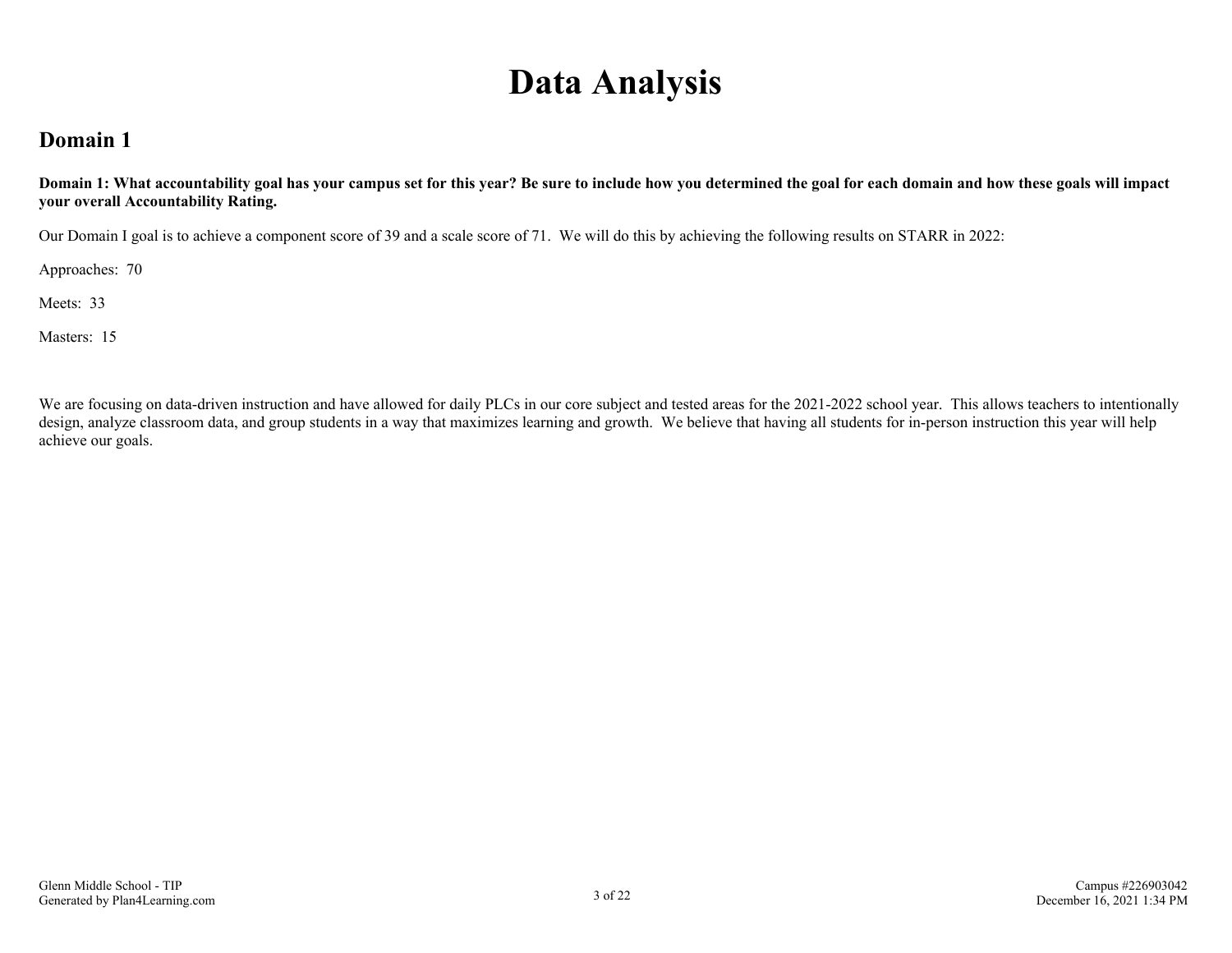# **Data Analysis**

### **Domain 1**

**Domain 1: What accountability goal has your campus set for this year? Be sure to include how you determined the goal for each domain and how these goals will impact your overall Accountability Rating.**

Our Domain I goal is to achieve a component score of 39 and a scale score of 71. We will do this by achieving the following results on STARR in 2022:

Approaches: 70

Meets: 33

Masters: 15

We are focusing on data-driven instruction and have allowed for daily PLCs in our core subject and tested areas for the 2021-2022 school year. This allows teachers to intentionally design, analyze classroom data, and group students in a way that maximizes learning and growth. We believe that having all students for in-person instruction this year will help achieve our goals.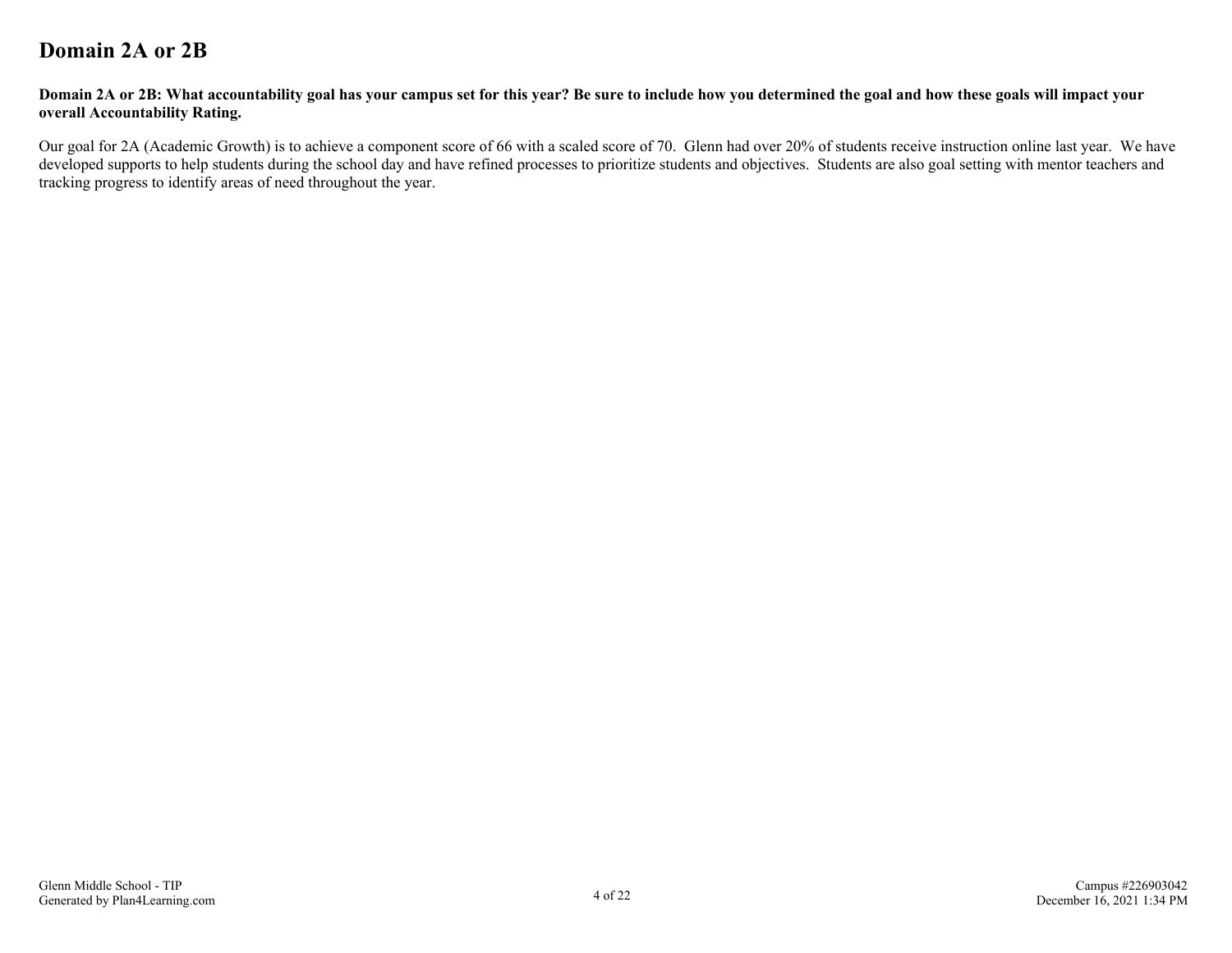## **Domain 2A or 2B**

#### **Domain 2A or 2B: What accountability goal has your campus set for this year? Be sure to include how you determined the goal and how these goals will impact your overall Accountability Rating.**

Our goal for 2A (Academic Growth) is to achieve a component score of 66 with a scaled score of 70. Glenn had over 20% of students receive instruction online last year. We have developed supports to help students during the school day and have refined processes to prioritize students and objectives. Students are also goal setting with mentor teachers and tracking progress to identify areas of need throughout the year.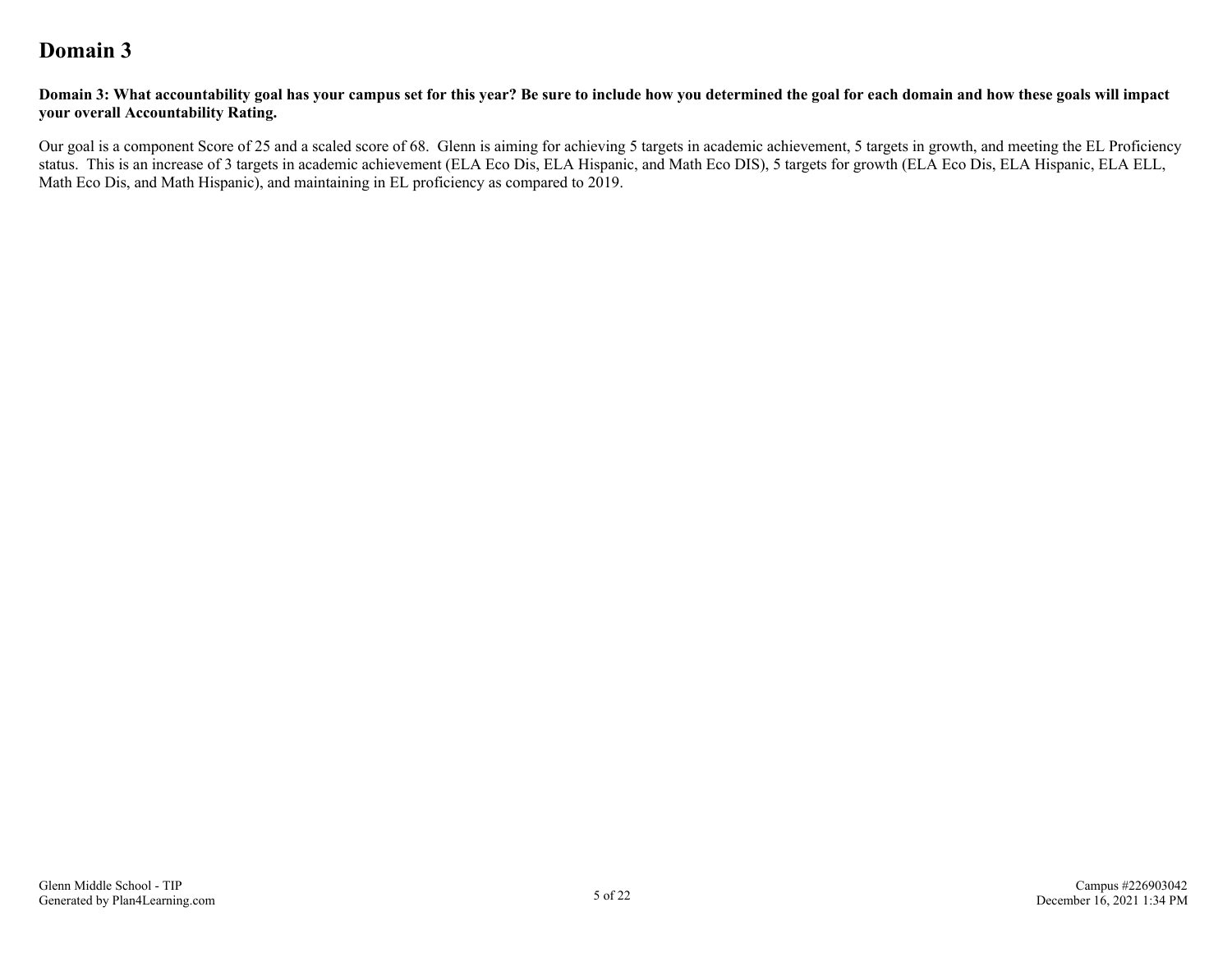## **Domain 3**

**Domain 3: What accountability goal has your campus set for this year? Be sure to include how you determined the goal for each domain and how these goals will impact your overall Accountability Rating.**

Our goal is a component Score of 25 and a scaled score of 68. Glenn is aiming for achieving 5 targets in academic achievement, 5 targets in growth, and meeting the EL Proficiency status. This is an increase of 3 targets in academic achievement (ELA Eco Dis, ELA Hispanic, and Math Eco DIS), 5 targets for growth (ELA Eco Dis, ELA Hispanic, ELA ELL, Math Eco Dis, and Math Hispanic), and maintaining in EL proficiency as compared to 2019.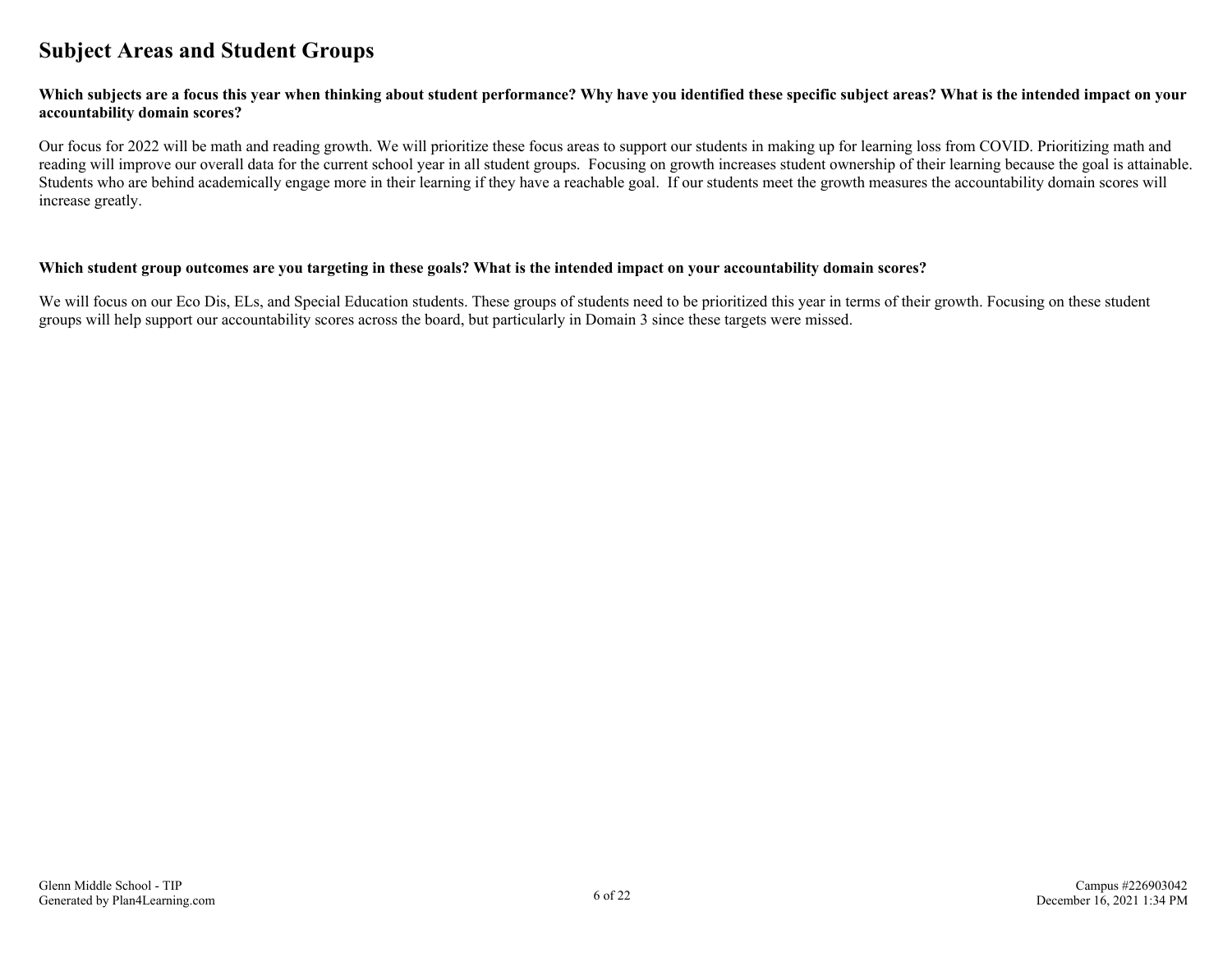### **Subject Areas and Student Groups**

#### **Which subjects are a focus this year when thinking about student performance? Why have you identified these specific subject areas? What is the intended impact on your accountability domain scores?**

Our focus for 2022 will be math and reading growth. We will prioritize these focus areas to support our students in making up for learning loss from COVID. Prioritizing math and reading will improve our overall data for the current school year in all student groups. Focusing on growth increases student ownership of their learning because the goal is attainable. Students who are behind academically engage more in their learning if they have a reachable goal. If our students meet the growth measures the accountability domain scores will increase greatly.

#### **Which student group outcomes are you targeting in these goals? What is the intended impact on your accountability domain scores?**

We will focus on our Eco Dis, ELs, and Special Education students. These groups of students need to be prioritized this year in terms of their growth. Focusing on these student groups will help support our accountability scores across the board, but particularly in Domain 3 since these targets were missed.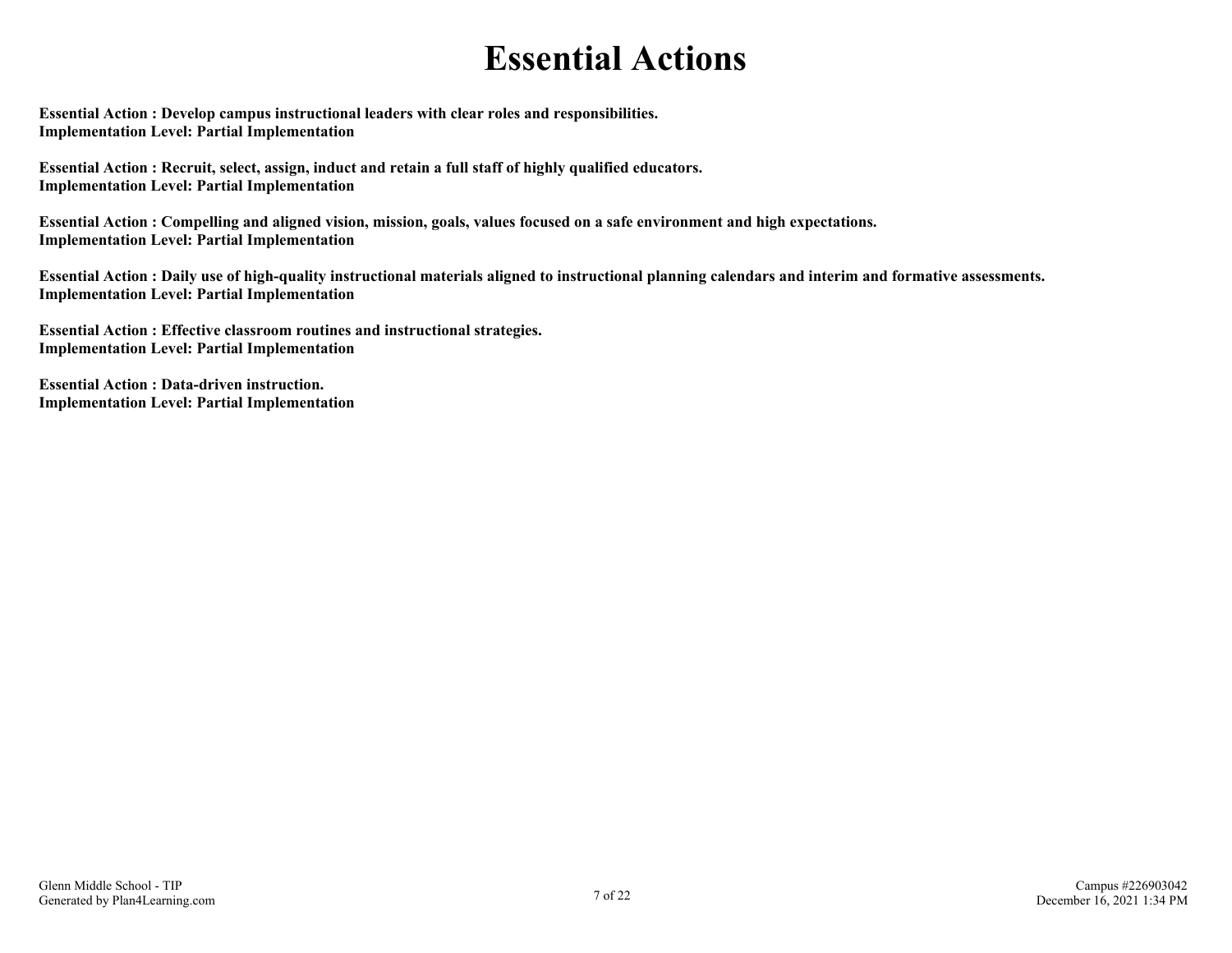# **Essential Actions**

**Essential Action : Develop campus instructional leaders with clear roles and responsibilities. Implementation Level: Partial Implementation** 

**Essential Action : Recruit, select, assign, induct and retain a full staff of highly qualified educators. Implementation Level: Partial Implementation** 

**Essential Action : Compelling and aligned vision, mission, goals, values focused on a safe environment and high expectations. Implementation Level: Partial Implementation** 

**Essential Action : Daily use of high-quality instructional materials aligned to instructional planning calendars and interim and formative assessments. Implementation Level: Partial Implementation** 

**Essential Action : Effective classroom routines and instructional strategies. Implementation Level: Partial Implementation** 

**Essential Action : Data-driven instruction. Implementation Level: Partial Implementation**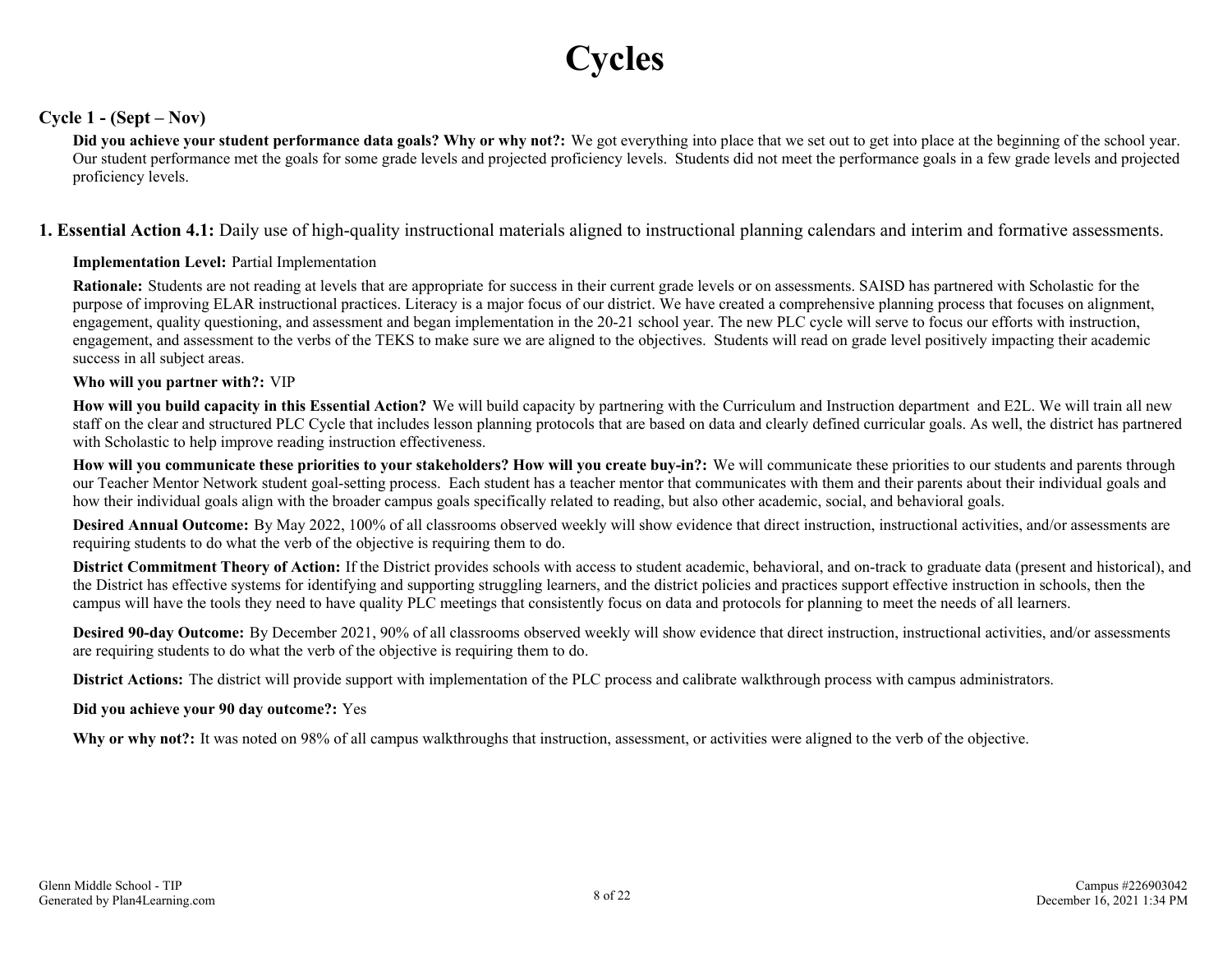# **Cycles**

#### **Cycle 1 - (Sept – Nov)**

**Did you achieve your student performance data goals? Why or why not?:** We got everything into place that we set out to get into place at the beginning of the school year. Our student performance met the goals for some grade levels and projected proficiency levels. Students did not meet the performance goals in a few grade levels and projected proficiency levels.

**1. Essential Action 4.1:** Daily use of high-quality instructional materials aligned to instructional planning calendars and interim and formative assessments.

#### **Implementation Level:** Partial Implementation

**Rationale:** Students are not reading at levels that are appropriate for success in their current grade levels or on assessments. SAISD has partnered with Scholastic for the purpose of improving ELAR instructional practices. Literacy is a major focus of our district. We have created a comprehensive planning process that focuses on alignment, engagement, quality questioning, and assessment and began implementation in the 20-21 school year. The new PLC cycle will serve to focus our efforts with instruction, engagement, and assessment to the verbs of the TEKS to make sure we are aligned to the objectives. Students will read on grade level positively impacting their academic success in all subject areas.

#### **Who will you partner with?:** VIP

**How will you build capacity in this Essential Action?** We will build capacity by partnering with the Curriculum and Instruction department and E2L. We will train all new staff on the clear and structured PLC Cycle that includes lesson planning protocols that are based on data and clearly defined curricular goals. As well, the district has partnered with Scholastic to help improve reading instruction effectiveness.

**How will you communicate these priorities to your stakeholders? How will you create buy-in?:** We will communicate these priorities to our students and parents through our Teacher Mentor Network student goal-setting process. Each student has a teacher mentor that communicates with them and their parents about their individual goals and how their individual goals align with the broader campus goals specifically related to reading, but also other academic, social, and behavioral goals.

**Desired Annual Outcome:** By May 2022, 100% of all classrooms observed weekly will show evidence that direct instruction, instructional activities, and/or assessments are requiring students to do what the verb of the objective is requiring them to do.

**District Commitment Theory of Action:** If the District provides schools with access to student academic, behavioral, and on-track to graduate data (present and historical), and the District has effective systems for identifying and supporting struggling learners, and the district policies and practices support effective instruction in schools, then the campus will have the tools they need to have quality PLC meetings that consistently focus on data and protocols for planning to meet the needs of all learners.

**Desired 90-day Outcome:** By December 2021, 90% of all classrooms observed weekly will show evidence that direct instruction, instructional activities, and/or assessments are requiring students to do what the verb of the objective is requiring them to do.

**District Actions:** The district will provide support with implementation of the PLC process and calibrate walkthrough process with campus administrators.

#### **Did you achieve your 90 day outcome?:** Yes

**Why or why not?:** It was noted on 98% of all campus walkthroughs that instruction, assessment, or activities were aligned to the verb of the objective.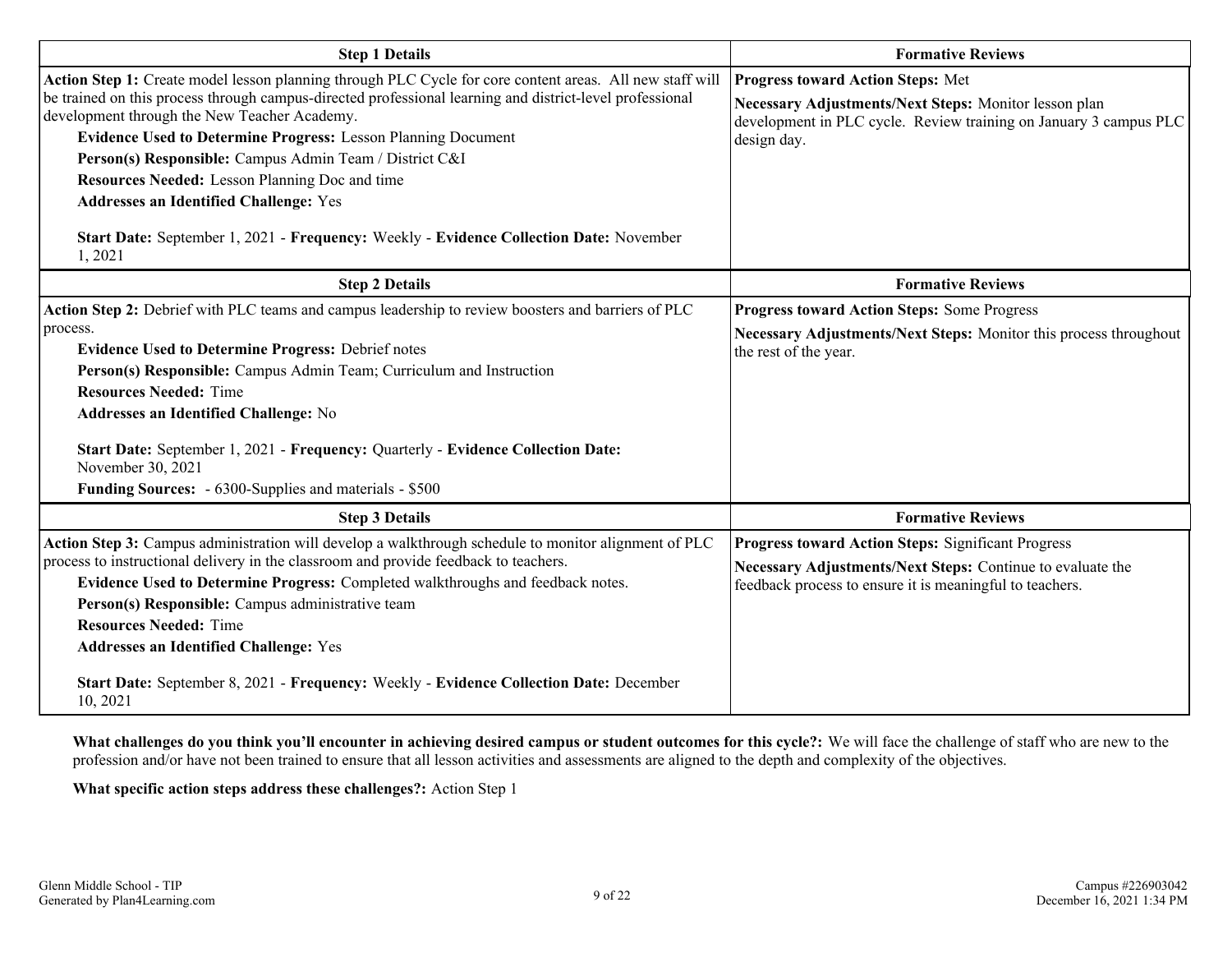| <b>Step 1 Details</b>                                                                                                                                                                                                                                                                                                                                                                                                                                                                                                                                                                                          | <b>Formative Reviews</b>                                                                                                                                                              |
|----------------------------------------------------------------------------------------------------------------------------------------------------------------------------------------------------------------------------------------------------------------------------------------------------------------------------------------------------------------------------------------------------------------------------------------------------------------------------------------------------------------------------------------------------------------------------------------------------------------|---------------------------------------------------------------------------------------------------------------------------------------------------------------------------------------|
| Action Step 1: Create model lesson planning through PLC Cycle for core content areas. All new staff will<br>be trained on this process through campus-directed professional learning and district-level professional<br>development through the New Teacher Academy.<br><b>Evidence Used to Determine Progress: Lesson Planning Document</b><br>Person(s) Responsible: Campus Admin Team / District C&I<br>Resources Needed: Lesson Planning Doc and time<br><b>Addresses an Identified Challenge: Yes</b><br>Start Date: September 1, 2021 - Frequency: Weekly - Evidence Collection Date: November<br>1,2021 | <b>Progress toward Action Steps: Met</b><br>Necessary Adjustments/Next Steps: Monitor lesson plan<br>development in PLC cycle. Review training on January 3 campus PLC<br>design day. |
| <b>Step 2 Details</b>                                                                                                                                                                                                                                                                                                                                                                                                                                                                                                                                                                                          | <b>Formative Reviews</b>                                                                                                                                                              |
| Action Step 2: Debrief with PLC teams and campus leadership to review boosters and barriers of PLC<br>process.<br><b>Evidence Used to Determine Progress: Debrief notes</b><br>Person(s) Responsible: Campus Admin Team; Curriculum and Instruction<br><b>Resources Needed: Time</b><br><b>Addresses an Identified Challenge: No</b><br>Start Date: September 1, 2021 - Frequency: Quarterly - Evidence Collection Date:<br>November 30, 2021<br><b>Funding Sources:</b> - 6300-Supplies and materials - \$500                                                                                                 | <b>Progress toward Action Steps: Some Progress</b><br>Necessary Adjustments/Next Steps: Monitor this process throughout<br>the rest of the year.                                      |
| <b>Step 3 Details</b>                                                                                                                                                                                                                                                                                                                                                                                                                                                                                                                                                                                          | <b>Formative Reviews</b>                                                                                                                                                              |
| Action Step 3: Campus administration will develop a walkthrough schedule to monitor alignment of PLC<br>process to instructional delivery in the classroom and provide feedback to teachers.<br>Evidence Used to Determine Progress: Completed walkthroughs and feedback notes.<br>Person(s) Responsible: Campus administrative team<br><b>Resources Needed: Time</b><br><b>Addresses an Identified Challenge: Yes</b><br>Start Date: September 8, 2021 - Frequency: Weekly - Evidence Collection Date: December<br>10, 2021                                                                                   | <b>Progress toward Action Steps: Significant Progress</b><br>Necessary Adjustments/Next Steps: Continue to evaluate the<br>feedback process to ensure it is meaningful to teachers.   |

**What challenges do you think you'll encounter in achieving desired campus or student outcomes for this cycle?:** We will face the challenge of staff who are new to the profession and/or have not been trained to ensure that all lesson activities and assessments are aligned to the depth and complexity of the objectives.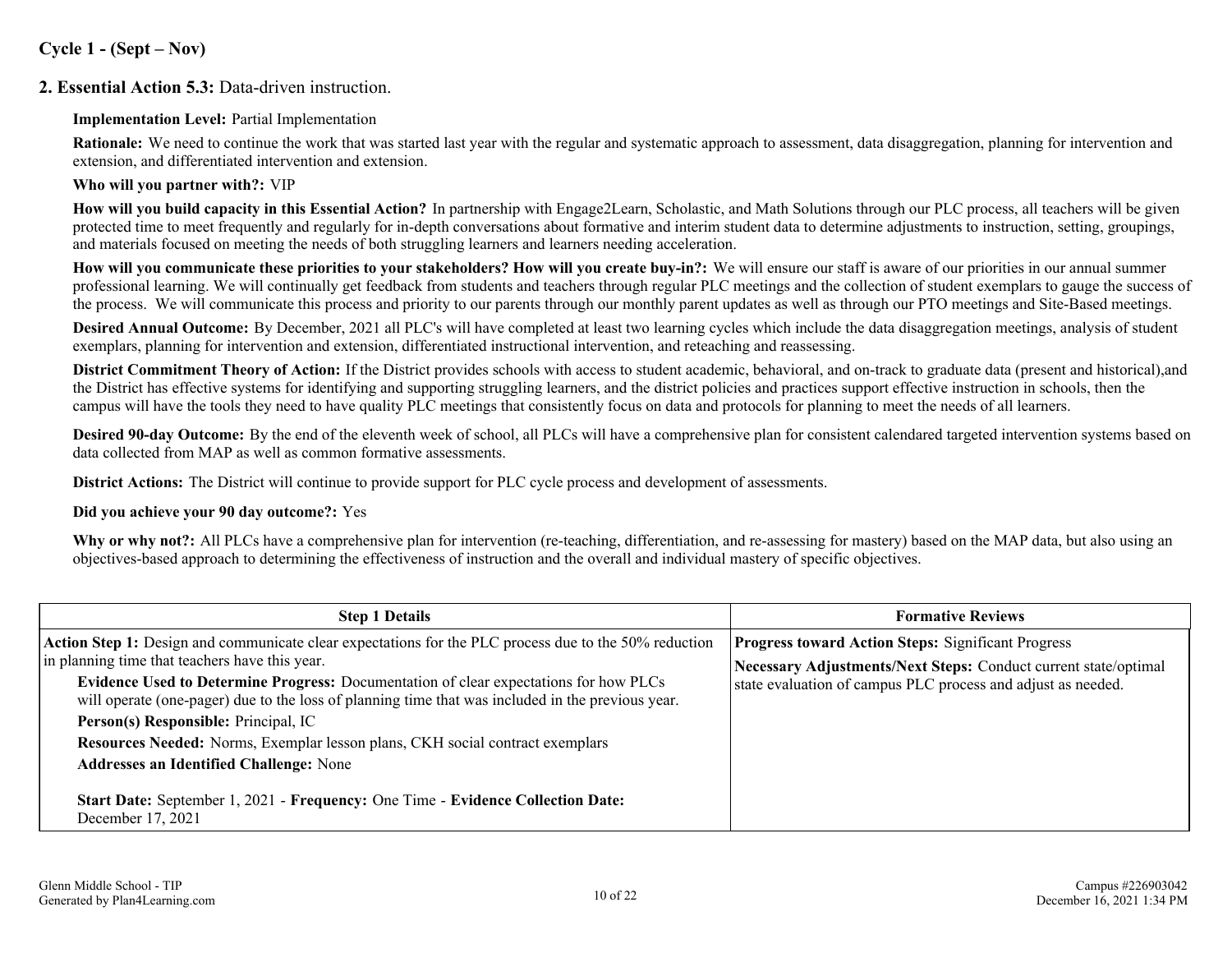#### **Cycle 1 - (Sept – Nov)**

#### **2. Essential Action 5.3:** Data-driven instruction.

#### **Implementation Level:** Partial Implementation

**Rationale:** We need to continue the work that was started last year with the regular and systematic approach to assessment, data disaggregation, planning for intervention and extension, and differentiated intervention and extension.

#### **Who will you partner with?:** VIP

**How will you build capacity in this Essential Action?** In partnership with Engage2Learn, Scholastic, and Math Solutions through our PLC process, all teachers will be given protected time to meet frequently and regularly for in-depth conversations about formative and interim student data to determine adjustments to instruction, setting, groupings, and materials focused on meeting the needs of both struggling learners and learners needing acceleration.

**How will you communicate these priorities to your stakeholders? How will you create buy-in?:** We will ensure our staff is aware of our priorities in our annual summer professional learning. We will continually get feedback from students and teachers through regular PLC meetings and the collection of student exemplars to gauge the success of the process. We will communicate this process and priority to our parents through our monthly parent updates as well as through our PTO meetings and Site-Based meetings.

**Desired Annual Outcome:** By December, 2021 all PLC's will have completed at least two learning cycles which include the data disaggregation meetings, analysis of student exemplars, planning for intervention and extension, differentiated instructional intervention, and reteaching and reassessing.

**District Commitment Theory of Action:** If the District provides schools with access to student academic, behavioral, and on-track to graduate data (present and historical),and the District has effective systems for identifying and supporting struggling learners, and the district policies and practices support effective instruction in schools, then the campus will have the tools they need to have quality PLC meetings that consistently focus on data and protocols for planning to meet the needs of all learners.

**Desired 90-day Outcome:** By the end of the eleventh week of school, all PLCs will have a comprehensive plan for consistent calendared targeted intervention systems based on data collected from MAP as well as common formative assessments.

**District Actions:** The District will continue to provide support for PLC cycle process and development of assessments.

#### **Did you achieve your 90 day outcome?:** Yes

Why or why not?: All PLCs have a comprehensive plan for intervention (re-teaching, differentiation, and re-assessing for mastery) based on the MAP data, but also using an objectives-based approach to determining the effectiveness of instruction and the overall and individual mastery of specific objectives.

| <b>Step 1 Details</b>                                                                                                                                                                                                                                                                                                                                                                                                                                                                                                            | <b>Formative Reviews</b>                                                                                                                                                                     |  |  |  |  |
|----------------------------------------------------------------------------------------------------------------------------------------------------------------------------------------------------------------------------------------------------------------------------------------------------------------------------------------------------------------------------------------------------------------------------------------------------------------------------------------------------------------------------------|----------------------------------------------------------------------------------------------------------------------------------------------------------------------------------------------|--|--|--|--|
| Action Step 1: Design and communicate clear expectations for the PLC process due to the 50% reduction<br>in planning time that teachers have this year.<br>Evidence Used to Determine Progress: Documentation of clear expectations for how PLCs<br>will operate (one-pager) due to the loss of planning time that was included in the previous year.<br>Person(s) Responsible: Principal, IC<br>Resources Needed: Norms, Exemplar lesson plans, CKH social contract exemplars<br><b>Addresses an Identified Challenge: None</b> | <b>Progress toward Action Steps: Significant Progress</b><br>Necessary Adjustments/Next Steps: Conduct current state/optimal<br>state evaluation of campus PLC process and adjust as needed. |  |  |  |  |
| <b>Start Date:</b> September 1, 2021 - Frequency: One Time - Evidence Collection Date:<br>December 17, 2021                                                                                                                                                                                                                                                                                                                                                                                                                      |                                                                                                                                                                                              |  |  |  |  |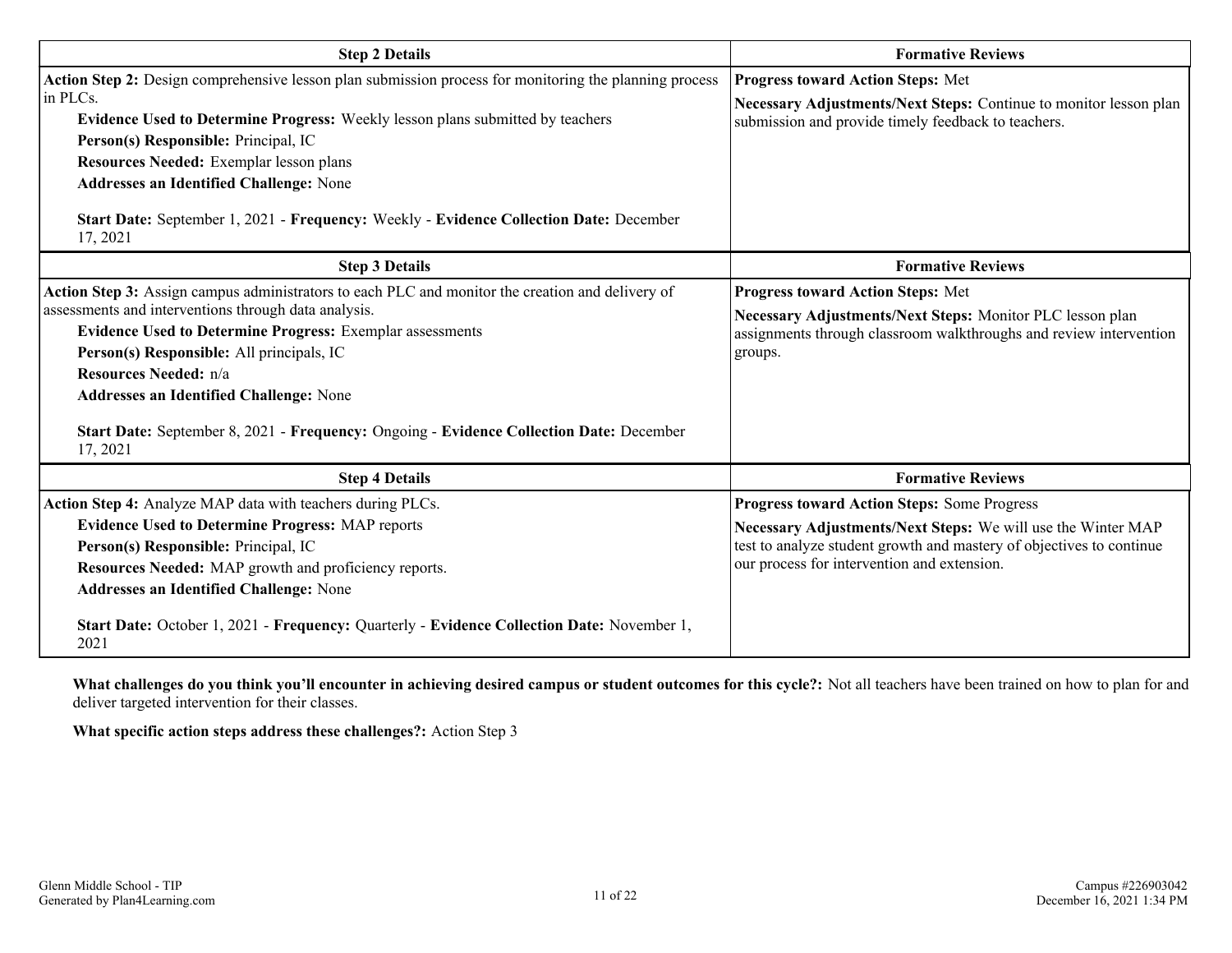| <b>Step 2 Details</b>                                                                                                                                                                                                                                                                                                                                                                                                                                                    | <b>Formative Reviews</b>                                                                                                                                                                                                                  |
|--------------------------------------------------------------------------------------------------------------------------------------------------------------------------------------------------------------------------------------------------------------------------------------------------------------------------------------------------------------------------------------------------------------------------------------------------------------------------|-------------------------------------------------------------------------------------------------------------------------------------------------------------------------------------------------------------------------------------------|
| Action Step 2: Design comprehensive lesson plan submission process for monitoring the planning process<br>in PLCs.<br>Evidence Used to Determine Progress: Weekly lesson plans submitted by teachers<br>Person(s) Responsible: Principal, IC<br>Resources Needed: Exemplar lesson plans<br><b>Addresses an Identified Challenge: None</b><br>Start Date: September 1, 2021 - Frequency: Weekly - Evidence Collection Date: December<br>17, 2021<br><b>Step 3 Details</b> | <b>Progress toward Action Steps: Met</b><br>Necessary Adjustments/Next Steps: Continue to monitor lesson plan<br>submission and provide timely feedback to teachers.<br><b>Formative Reviews</b>                                          |
| Action Step 3: Assign campus administrators to each PLC and monitor the creation and delivery of<br>assessments and interventions through data analysis.<br><b>Evidence Used to Determine Progress: Exemplar assessments</b><br>Person(s) Responsible: All principals, IC<br>Resources Needed: n/a<br><b>Addresses an Identified Challenge: None</b><br>Start Date: September 8, 2021 - Frequency: Ongoing - Evidence Collection Date: December<br>17, 2021              | <b>Progress toward Action Steps: Met</b><br>Necessary Adjustments/Next Steps: Monitor PLC lesson plan<br>assignments through classroom walkthroughs and review intervention<br>groups.                                                    |
| <b>Step 4 Details</b>                                                                                                                                                                                                                                                                                                                                                                                                                                                    | <b>Formative Reviews</b>                                                                                                                                                                                                                  |
| Action Step 4: Analyze MAP data with teachers during PLCs.<br><b>Evidence Used to Determine Progress: MAP reports</b><br>Person(s) Responsible: Principal, IC<br>Resources Needed: MAP growth and proficiency reports.<br><b>Addresses an Identified Challenge: None</b><br>Start Date: October 1, 2021 - Frequency: Quarterly - Evidence Collection Date: November 1,<br>2021                                                                                           | <b>Progress toward Action Steps: Some Progress</b><br>Necessary Adjustments/Next Steps: We will use the Winter MAP<br>test to analyze student growth and mastery of objectives to continue<br>our process for intervention and extension. |

**What challenges do you think you'll encounter in achieving desired campus or student outcomes for this cycle?:** Not all teachers have been trained on how to plan for and deliver targeted intervention for their classes.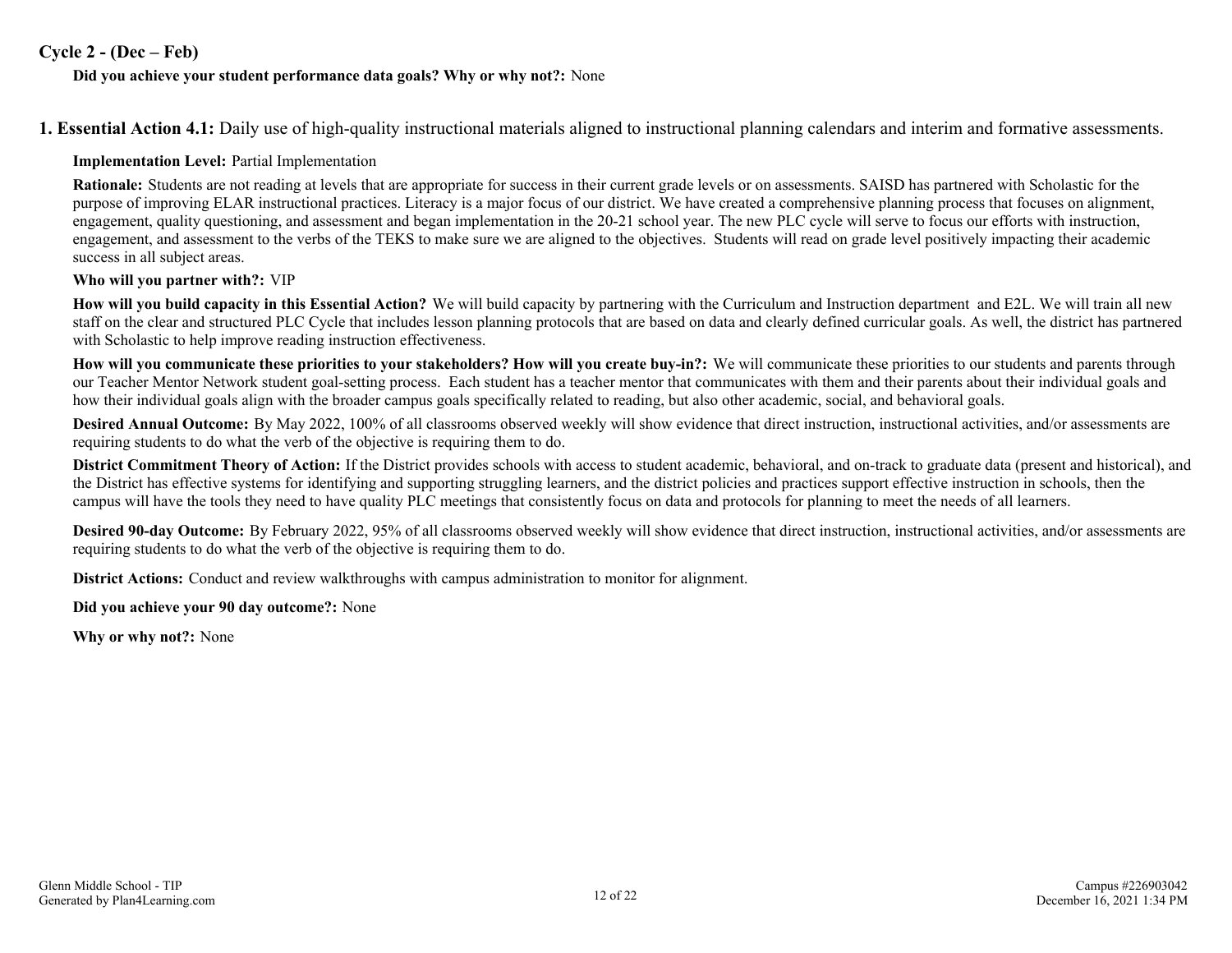#### **Cycle 2 - (Dec – Feb)**

#### **Did you achieve your student performance data goals? Why or why not?:** None

**1. Essential Action 4.1:** Daily use of high-quality instructional materials aligned to instructional planning calendars and interim and formative assessments.

#### **Implementation Level:** Partial Implementation

**Rationale:** Students are not reading at levels that are appropriate for success in their current grade levels or on assessments. SAISD has partnered with Scholastic for the purpose of improving ELAR instructional practices. Literacy is a major focus of our district. We have created a comprehensive planning process that focuses on alignment, engagement, quality questioning, and assessment and began implementation in the 20-21 school year. The new PLC cycle will serve to focus our efforts with instruction, engagement, and assessment to the verbs of the TEKS to make sure we are aligned to the objectives. Students will read on grade level positively impacting their academic success in all subject areas.

#### **Who will you partner with?:** VIP

**How will you build capacity in this Essential Action?** We will build capacity by partnering with the Curriculum and Instruction department and E2L. We will train all new staff on the clear and structured PLC Cycle that includes lesson planning protocols that are based on data and clearly defined curricular goals. As well, the district has partnered with Scholastic to help improve reading instruction effectiveness.

**How will you communicate these priorities to your stakeholders? How will you create buy-in?:** We will communicate these priorities to our students and parents through our Teacher Mentor Network student goal-setting process. Each student has a teacher mentor that communicates with them and their parents about their individual goals and how their individual goals align with the broader campus goals specifically related to reading, but also other academic, social, and behavioral goals.

**Desired Annual Outcome:** By May 2022, 100% of all classrooms observed weekly will show evidence that direct instruction, instructional activities, and/or assessments are requiring students to do what the verb of the objective is requiring them to do.

**District Commitment Theory of Action:** If the District provides schools with access to student academic, behavioral, and on-track to graduate data (present and historical), and the District has effective systems for identifying and supporting struggling learners, and the district policies and practices support effective instruction in schools, then the campus will have the tools they need to have quality PLC meetings that consistently focus on data and protocols for planning to meet the needs of all learners.

**Desired 90-day Outcome:** By February 2022, 95% of all classrooms observed weekly will show evidence that direct instruction, instructional activities, and/or assessments are requiring students to do what the verb of the objective is requiring them to do.

**District Actions:** Conduct and review walkthroughs with campus administration to monitor for alignment.

**Did you achieve your 90 day outcome?:** None

**Why or why not?:** None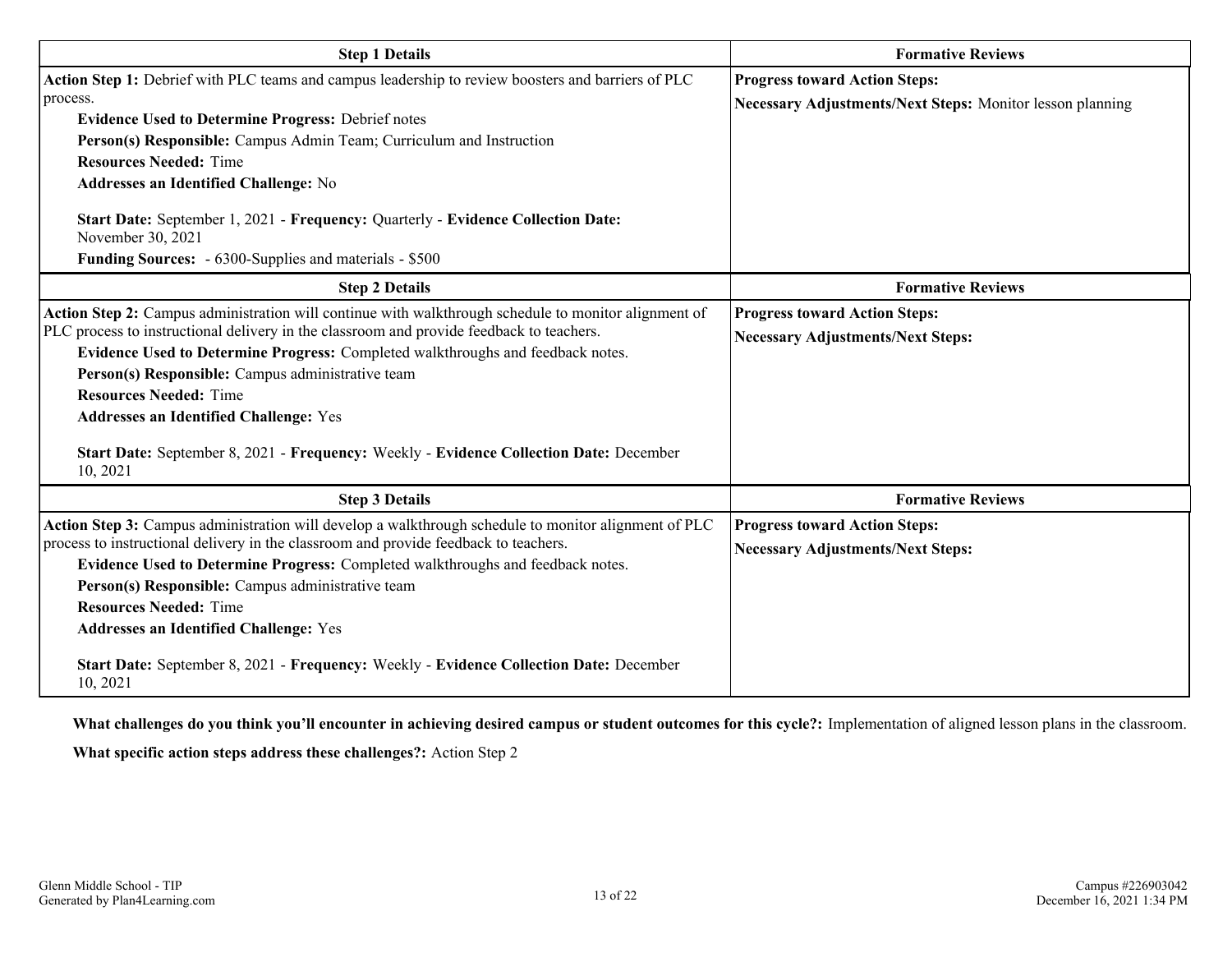| <b>Step 1 Details</b>                                                                                                                                                                                                                                                                                                                                                                                                                                                                                                            | <b>Formative Reviews</b>                                                                          |
|----------------------------------------------------------------------------------------------------------------------------------------------------------------------------------------------------------------------------------------------------------------------------------------------------------------------------------------------------------------------------------------------------------------------------------------------------------------------------------------------------------------------------------|---------------------------------------------------------------------------------------------------|
| Action Step 1: Debrief with PLC teams and campus leadership to review boosters and barriers of PLC<br>process.                                                                                                                                                                                                                                                                                                                                                                                                                   | <b>Progress toward Action Steps:</b><br>Necessary Adjustments/Next Steps: Monitor lesson planning |
| <b>Evidence Used to Determine Progress: Debrief notes</b><br>Person(s) Responsible: Campus Admin Team; Curriculum and Instruction<br><b>Resources Needed: Time</b><br><b>Addresses an Identified Challenge: No</b><br>Start Date: September 1, 2021 - Frequency: Quarterly - Evidence Collection Date:<br>November 30, 2021<br>Funding Sources: - 6300-Supplies and materials - \$500                                                                                                                                            |                                                                                                   |
| <b>Step 2 Details</b>                                                                                                                                                                                                                                                                                                                                                                                                                                                                                                            | <b>Formative Reviews</b>                                                                          |
| Action Step 2: Campus administration will continue with walkthrough schedule to monitor alignment of<br>PLC process to instructional delivery in the classroom and provide feedback to teachers.<br>Evidence Used to Determine Progress: Completed walkthroughs and feedback notes.<br>Person(s) Responsible: Campus administrative team<br><b>Resources Needed: Time</b><br><b>Addresses an Identified Challenge: Yes</b><br>Start Date: September 8, 2021 - Frequency: Weekly - Evidence Collection Date: December<br>10, 2021 | <b>Progress toward Action Steps:</b><br><b>Necessary Adjustments/Next Steps:</b>                  |
| <b>Step 3 Details</b>                                                                                                                                                                                                                                                                                                                                                                                                                                                                                                            | <b>Formative Reviews</b>                                                                          |
| Action Step 3: Campus administration will develop a walkthrough schedule to monitor alignment of PLC<br>process to instructional delivery in the classroom and provide feedback to teachers.<br>Evidence Used to Determine Progress: Completed walkthroughs and feedback notes.<br>Person(s) Responsible: Campus administrative team<br><b>Resources Needed: Time</b><br><b>Addresses an Identified Challenge: Yes</b><br>Start Date: September 8, 2021 - Frequency: Weekly - Evidence Collection Date: December                 | <b>Progress toward Action Steps:</b><br><b>Necessary Adjustments/Next Steps:</b>                  |
| 10, 2021                                                                                                                                                                                                                                                                                                                                                                                                                                                                                                                         |                                                                                                   |

**What challenges do you think you'll encounter in achieving desired campus or student outcomes for this cycle?:** Implementation of aligned lesson plans in the classroom.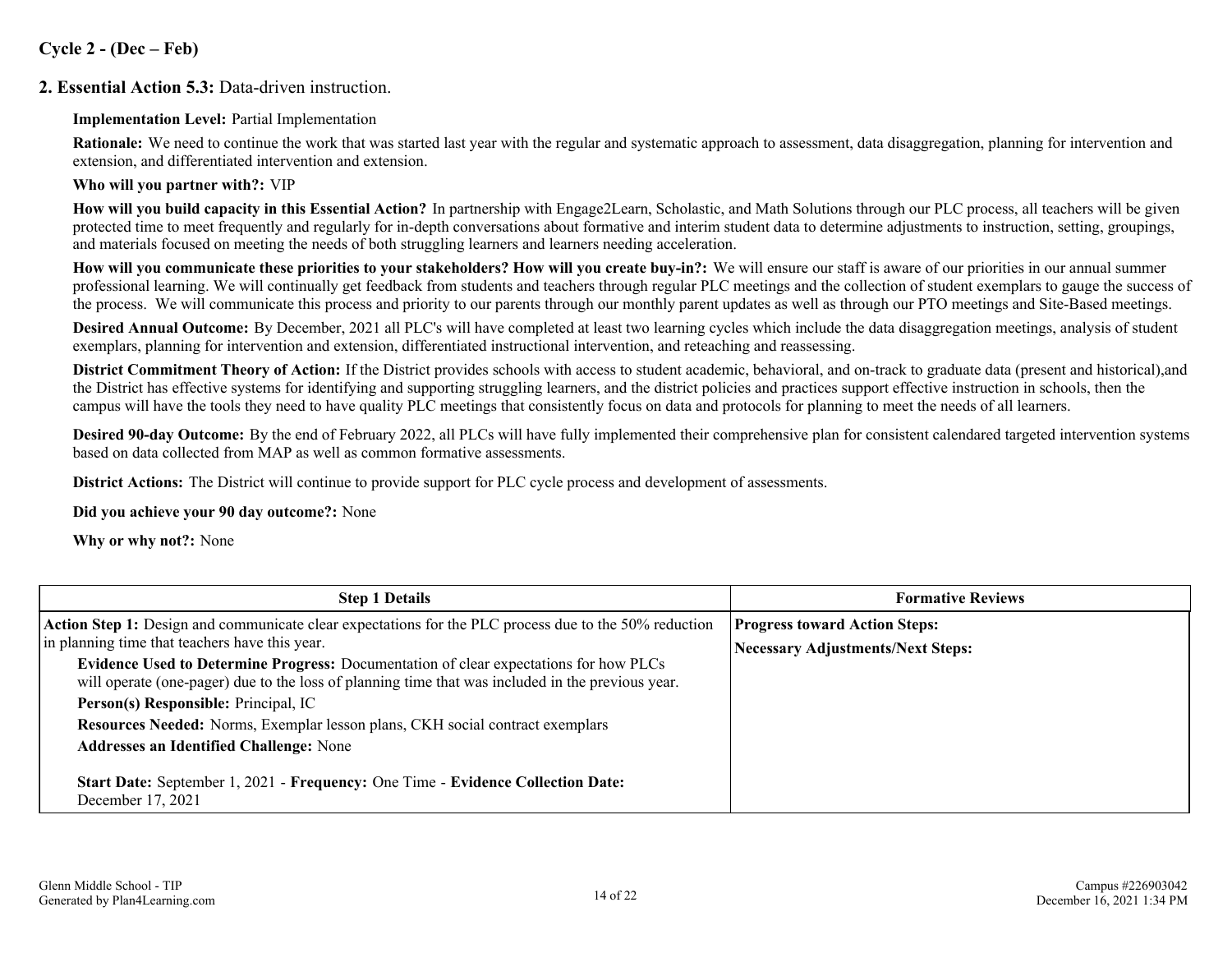#### **Cycle 2 - (Dec – Feb)**

#### **2. Essential Action 5.3:** Data-driven instruction.

**Implementation Level:** Partial Implementation

**Rationale:** We need to continue the work that was started last year with the regular and systematic approach to assessment, data disaggregation, planning for intervention and extension, and differentiated intervention and extension.

#### **Who will you partner with?:** VIP

**How will you build capacity in this Essential Action?** In partnership with Engage2Learn, Scholastic, and Math Solutions through our PLC process, all teachers will be given protected time to meet frequently and regularly for in-depth conversations about formative and interim student data to determine adjustments to instruction, setting, groupings, and materials focused on meeting the needs of both struggling learners and learners needing acceleration.

**How will you communicate these priorities to your stakeholders? How will you create buy-in?:** We will ensure our staff is aware of our priorities in our annual summer professional learning. We will continually get feedback from students and teachers through regular PLC meetings and the collection of student exemplars to gauge the success of the process. We will communicate this process and priority to our parents through our monthly parent updates as well as through our PTO meetings and Site-Based meetings.

**Desired Annual Outcome:** By December, 2021 all PLC's will have completed at least two learning cycles which include the data disaggregation meetings, analysis of student exemplars, planning for intervention and extension, differentiated instructional intervention, and reteaching and reassessing.

**District Commitment Theory of Action:** If the District provides schools with access to student academic, behavioral, and on-track to graduate data (present and historical),and the District has effective systems for identifying and supporting struggling learners, and the district policies and practices support effective instruction in schools, then the campus will have the tools they need to have quality PLC meetings that consistently focus on data and protocols for planning to meet the needs of all learners.

**Desired 90-day Outcome:** By the end of February 2022, all PLCs will have fully implemented their comprehensive plan for consistent calendared targeted intervention systems based on data collected from MAP as well as common formative assessments.

**District Actions:** The District will continue to provide support for PLC cycle process and development of assessments.

**Did you achieve your 90 day outcome?:** None

**Why or why not?:** None

| <b>Step 1 Details</b>                                                                                 | <b>Formative Reviews</b>                 |
|-------------------------------------------------------------------------------------------------------|------------------------------------------|
| Action Step 1: Design and communicate clear expectations for the PLC process due to the 50% reduction | <b>Progress toward Action Steps:</b>     |
| in planning time that teachers have this year.                                                        | <b>Necessary Adjustments/Next Steps:</b> |
| <b>Evidence Used to Determine Progress:</b> Documentation of clear expectations for how PLCs          |                                          |
| will operate (one-pager) due to the loss of planning time that was included in the previous year.     |                                          |
| <b>Person(s) Responsible: Principal, IC</b>                                                           |                                          |
| <b>Resources Needed:</b> Norms, Exemplar lesson plans, CKH social contract exemplars                  |                                          |
| <b>Addresses an Identified Challenge: None</b>                                                        |                                          |
|                                                                                                       |                                          |
| Start Date: September 1, 2021 - Frequency: One Time - Evidence Collection Date:                       |                                          |
| December 17, 2021                                                                                     |                                          |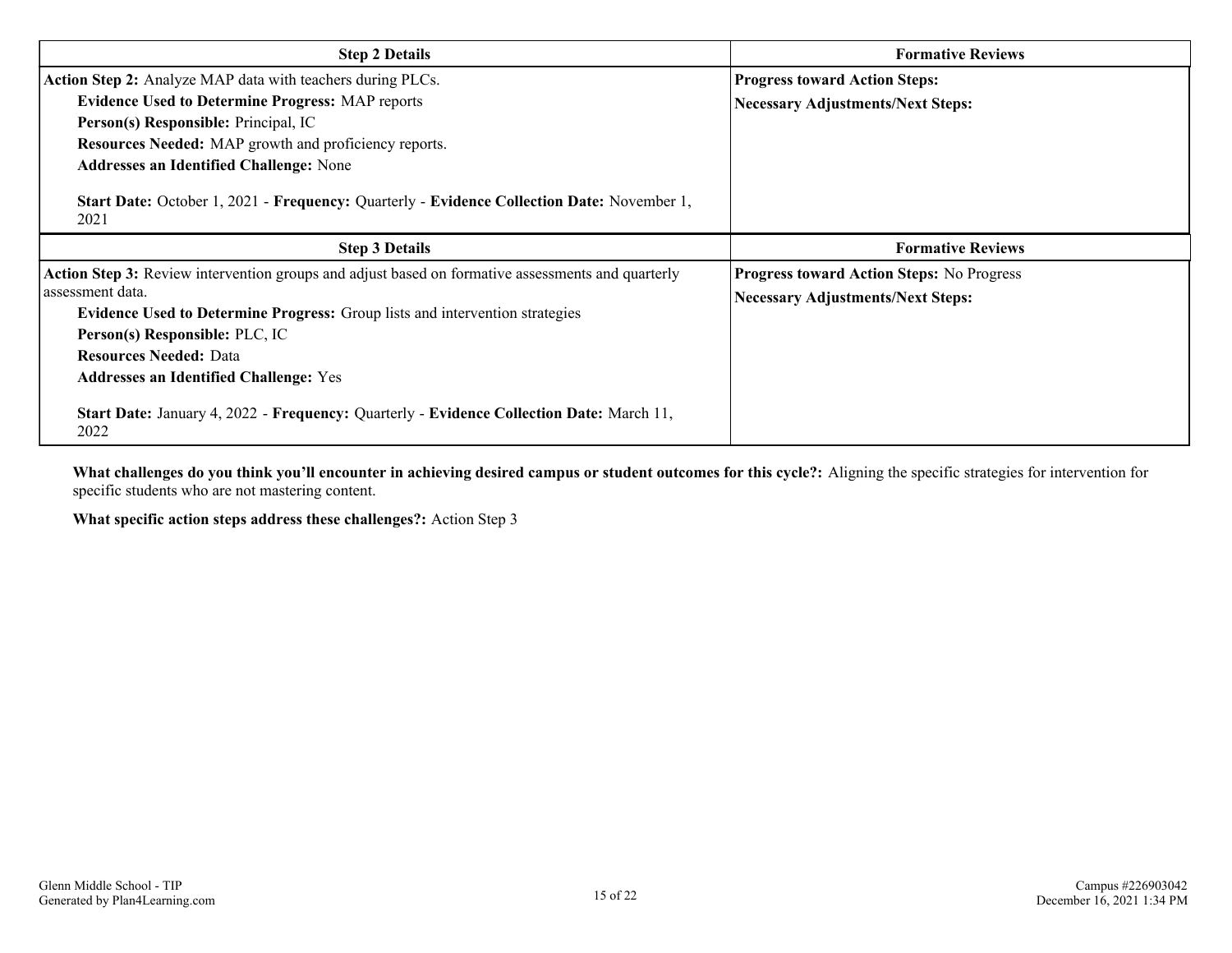| <b>Step 2 Details</b>                                                                                     | <b>Formative Reviews</b>                         |  |  |  |  |
|-----------------------------------------------------------------------------------------------------------|--------------------------------------------------|--|--|--|--|
| Action Step 2: Analyze MAP data with teachers during PLCs.                                                | <b>Progress toward Action Steps:</b>             |  |  |  |  |
| <b>Evidence Used to Determine Progress: MAP reports</b>                                                   | <b>Necessary Adjustments/Next Steps:</b>         |  |  |  |  |
| Person(s) Responsible: Principal, IC                                                                      |                                                  |  |  |  |  |
| <b>Resources Needed:</b> MAP growth and proficiency reports.                                              |                                                  |  |  |  |  |
| <b>Addresses an Identified Challenge: None</b>                                                            |                                                  |  |  |  |  |
| <b>Start Date:</b> October 1, 2021 - Frequency: Quarterly - Evidence Collection Date: November 1,<br>2021 |                                                  |  |  |  |  |
| <b>Step 3 Details</b>                                                                                     | <b>Formative Reviews</b>                         |  |  |  |  |
| <b>Action Step 3:</b> Review intervention groups and adjust based on formative assessments and quarterly  | <b>Progress toward Action Steps: No Progress</b> |  |  |  |  |
| assessment data.                                                                                          | <b>Necessary Adjustments/Next Steps:</b>         |  |  |  |  |
| <b>Evidence Used to Determine Progress:</b> Group lists and intervention strategies                       |                                                  |  |  |  |  |
| Person(s) Responsible: PLC, IC                                                                            |                                                  |  |  |  |  |
| <b>Resources Needed: Data</b>                                                                             |                                                  |  |  |  |  |
| <b>Addresses an Identified Challenge:</b> Yes                                                             |                                                  |  |  |  |  |
| <b>Start Date: January 4, 2022 - Frequency: Quarterly - Evidence Collection Date:</b> March 11,<br>2022   |                                                  |  |  |  |  |

**What challenges do you think you'll encounter in achieving desired campus or student outcomes for this cycle?:** Aligning the specific strategies for intervention for specific students who are not mastering content.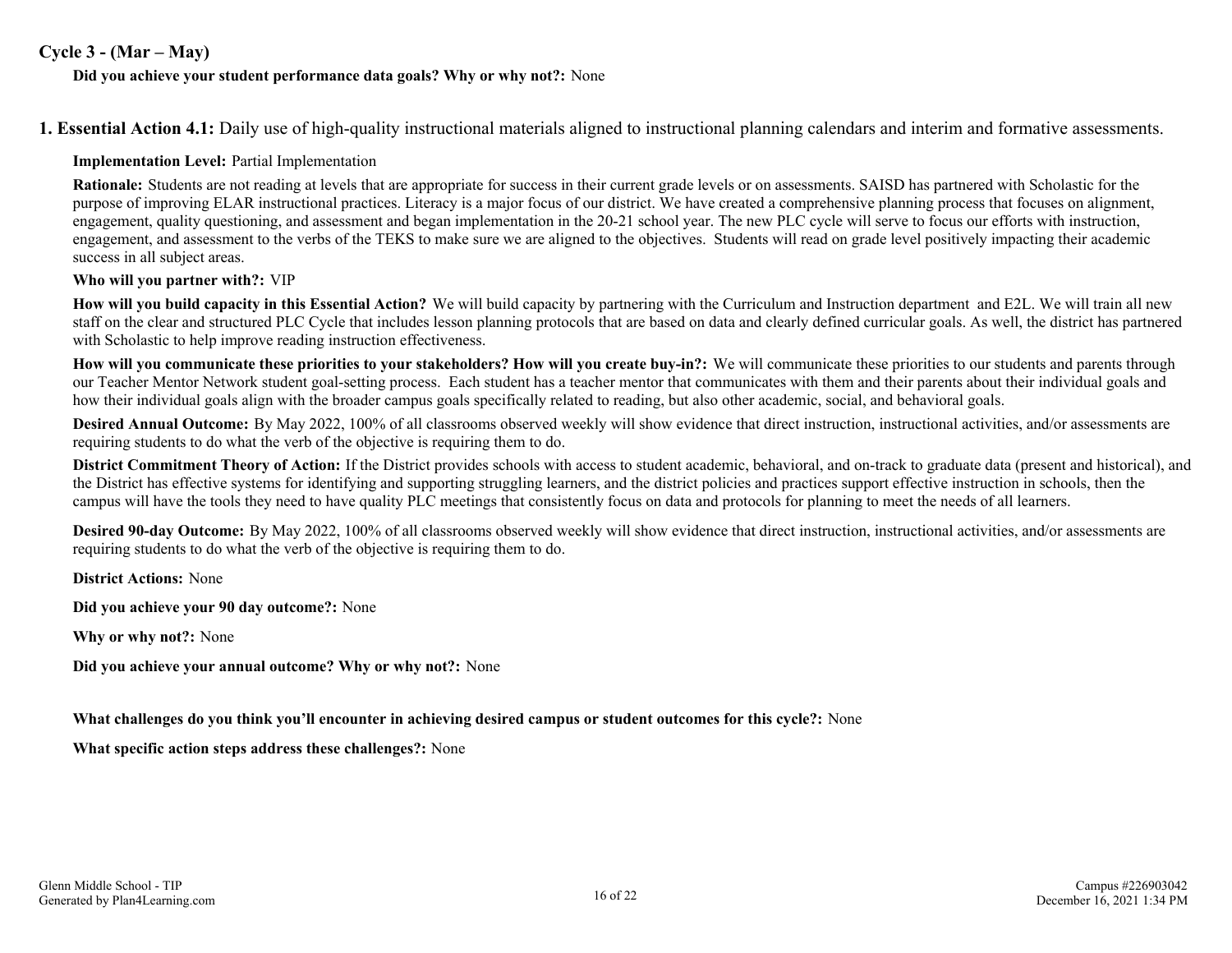#### **Cycle 3 - (Mar – May)**

**Did you achieve your student performance data goals? Why or why not?:** None

**1. Essential Action 4.1:** Daily use of high-quality instructional materials aligned to instructional planning calendars and interim and formative assessments.

#### **Implementation Level:** Partial Implementation

**Rationale:** Students are not reading at levels that are appropriate for success in their current grade levels or on assessments. SAISD has partnered with Scholastic for the purpose of improving ELAR instructional practices. Literacy is a major focus of our district. We have created a comprehensive planning process that focuses on alignment, engagement, quality questioning, and assessment and began implementation in the 20-21 school year. The new PLC cycle will serve to focus our efforts with instruction, engagement, and assessment to the verbs of the TEKS to make sure we are aligned to the objectives. Students will read on grade level positively impacting their academic success in all subject areas.

#### **Who will you partner with?:** VIP

**How will you build capacity in this Essential Action?** We will build capacity by partnering with the Curriculum and Instruction department and E2L. We will train all new staff on the clear and structured PLC Cycle that includes lesson planning protocols that are based on data and clearly defined curricular goals. As well, the district has partnered with Scholastic to help improve reading instruction effectiveness.

**How will you communicate these priorities to your stakeholders? How will you create buy-in?:** We will communicate these priorities to our students and parents through our Teacher Mentor Network student goal-setting process. Each student has a teacher mentor that communicates with them and their parents about their individual goals and how their individual goals align with the broader campus goals specifically related to reading, but also other academic, social, and behavioral goals.

**Desired Annual Outcome:** By May 2022, 100% of all classrooms observed weekly will show evidence that direct instruction, instructional activities, and/or assessments are requiring students to do what the verb of the objective is requiring them to do.

**District Commitment Theory of Action:** If the District provides schools with access to student academic, behavioral, and on-track to graduate data (present and historical), and the District has effective systems for identifying and supporting struggling learners, and the district policies and practices support effective instruction in schools, then the campus will have the tools they need to have quality PLC meetings that consistently focus on data and protocols for planning to meet the needs of all learners.

**Desired 90-day Outcome:** By May 2022, 100% of all classrooms observed weekly will show evidence that direct instruction, instructional activities, and/or assessments are requiring students to do what the verb of the objective is requiring them to do.

**District Actions:** None

**Did you achieve your 90 day outcome?:** None

**Why or why not?:** None

**Did you achieve your annual outcome? Why or why not?:** None

**What challenges do you think you'll encounter in achieving desired campus or student outcomes for this cycle?:** None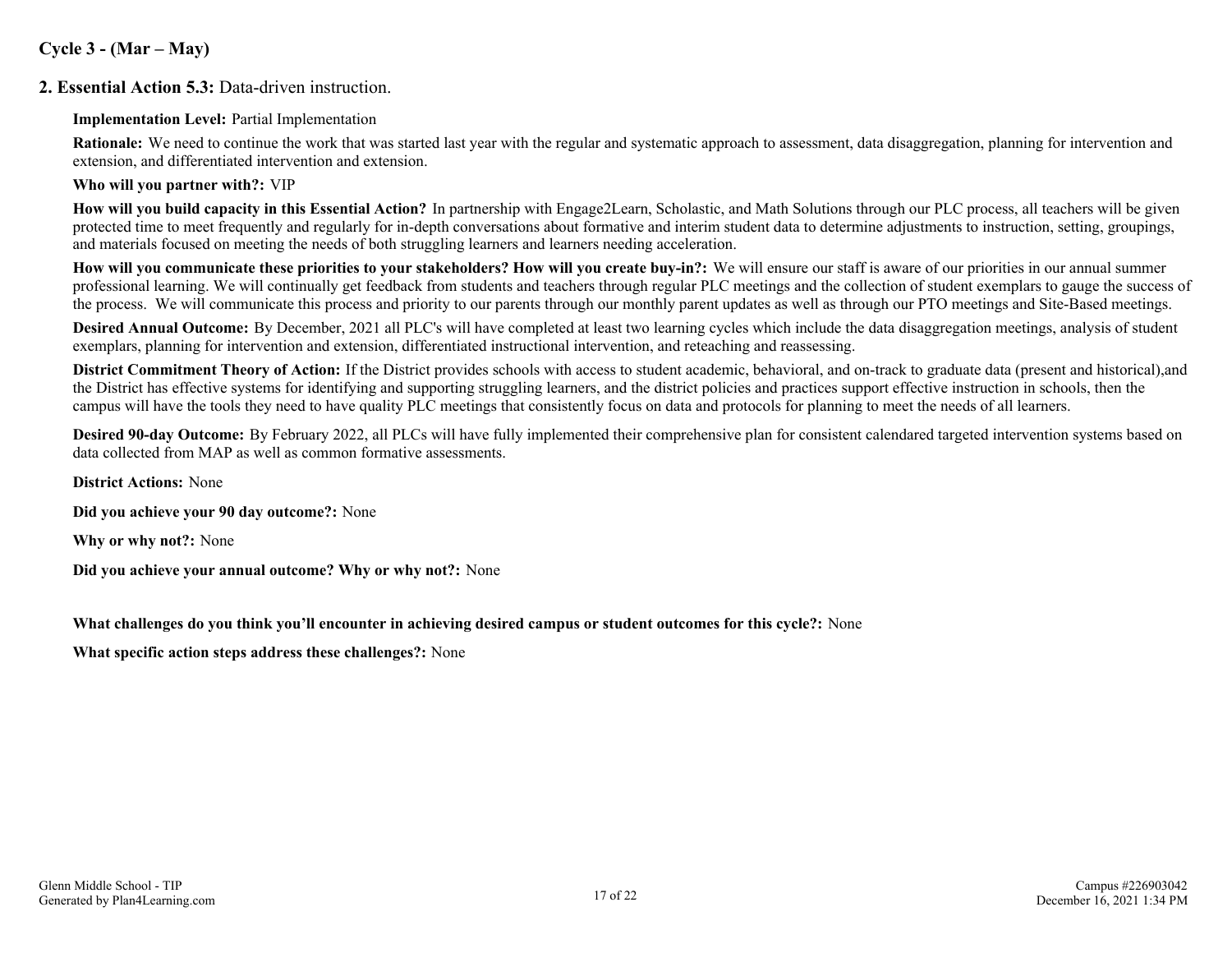#### **Cycle 3 - (Mar – May)**

#### **2. Essential Action 5.3:** Data-driven instruction.

**Implementation Level:** Partial Implementation

**Rationale:** We need to continue the work that was started last year with the regular and systematic approach to assessment, data disaggregation, planning for intervention and extension, and differentiated intervention and extension.

**Who will you partner with?:** VIP

**How will you build capacity in this Essential Action?** In partnership with Engage2Learn, Scholastic, and Math Solutions through our PLC process, all teachers will be given protected time to meet frequently and regularly for in-depth conversations about formative and interim student data to determine adjustments to instruction, setting, groupings, and materials focused on meeting the needs of both struggling learners and learners needing acceleration.

**How will you communicate these priorities to your stakeholders? How will you create buy-in?:** We will ensure our staff is aware of our priorities in our annual summer professional learning. We will continually get feedback from students and teachers through regular PLC meetings and the collection of student exemplars to gauge the success of the process. We will communicate this process and priority to our parents through our monthly parent updates as well as through our PTO meetings and Site-Based meetings.

**Desired Annual Outcome:** By December, 2021 all PLC's will have completed at least two learning cycles which include the data disaggregation meetings, analysis of student exemplars, planning for intervention and extension, differentiated instructional intervention, and reteaching and reassessing.

**District Commitment Theory of Action:** If the District provides schools with access to student academic, behavioral, and on-track to graduate data (present and historical),and the District has effective systems for identifying and supporting struggling learners, and the district policies and practices support effective instruction in schools, then the campus will have the tools they need to have quality PLC meetings that consistently focus on data and protocols for planning to meet the needs of all learners.

**Desired 90-day Outcome:** By February 2022, all PLCs will have fully implemented their comprehensive plan for consistent calendared targeted intervention systems based on data collected from MAP as well as common formative assessments.

**District Actions:** None

**Did you achieve your 90 day outcome?:** None

**Why or why not?:** None

**Did you achieve your annual outcome? Why or why not?:** None

**What challenges do you think you'll encounter in achieving desired campus or student outcomes for this cycle?:** None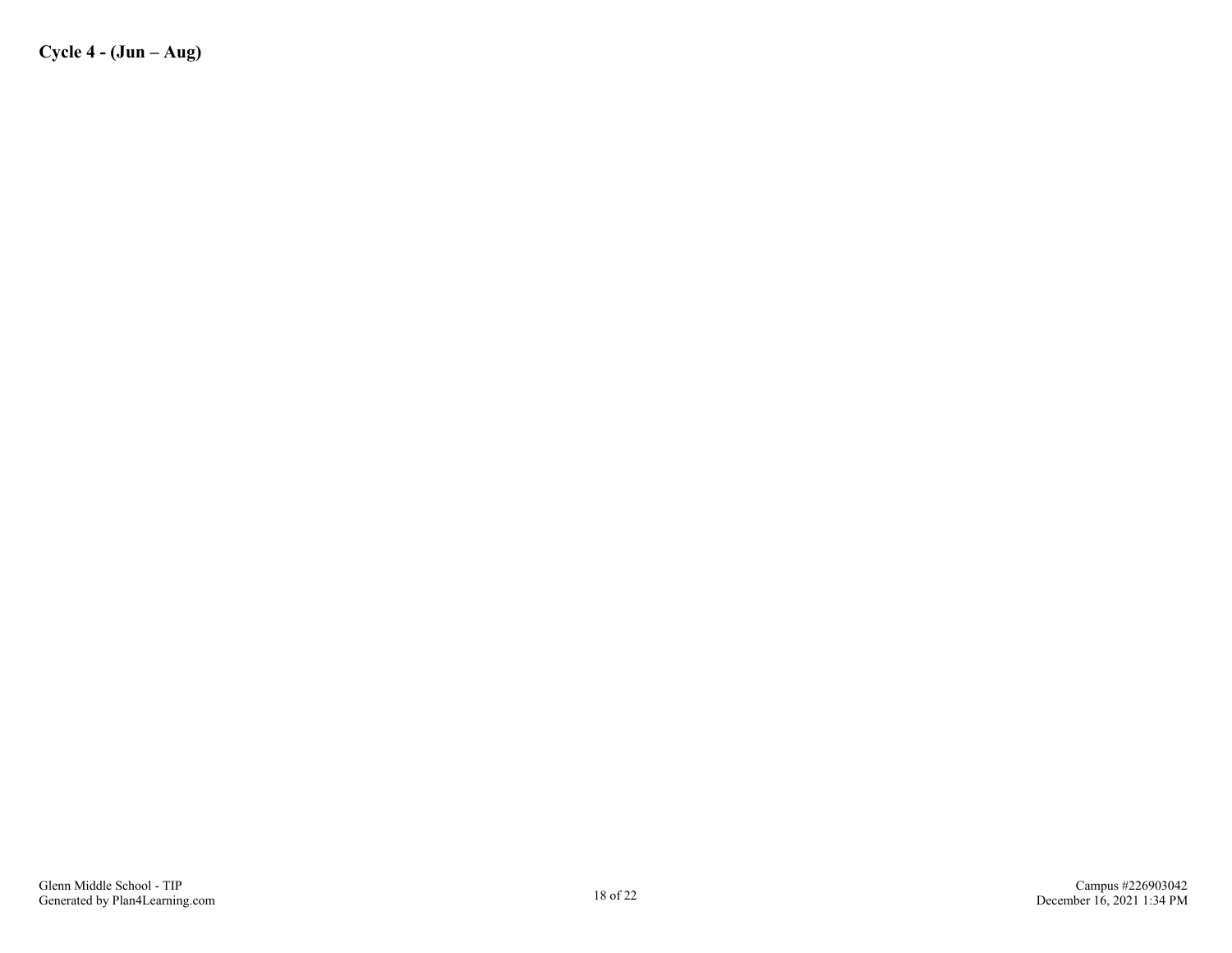**Cycle 4 - (Jun – Aug)**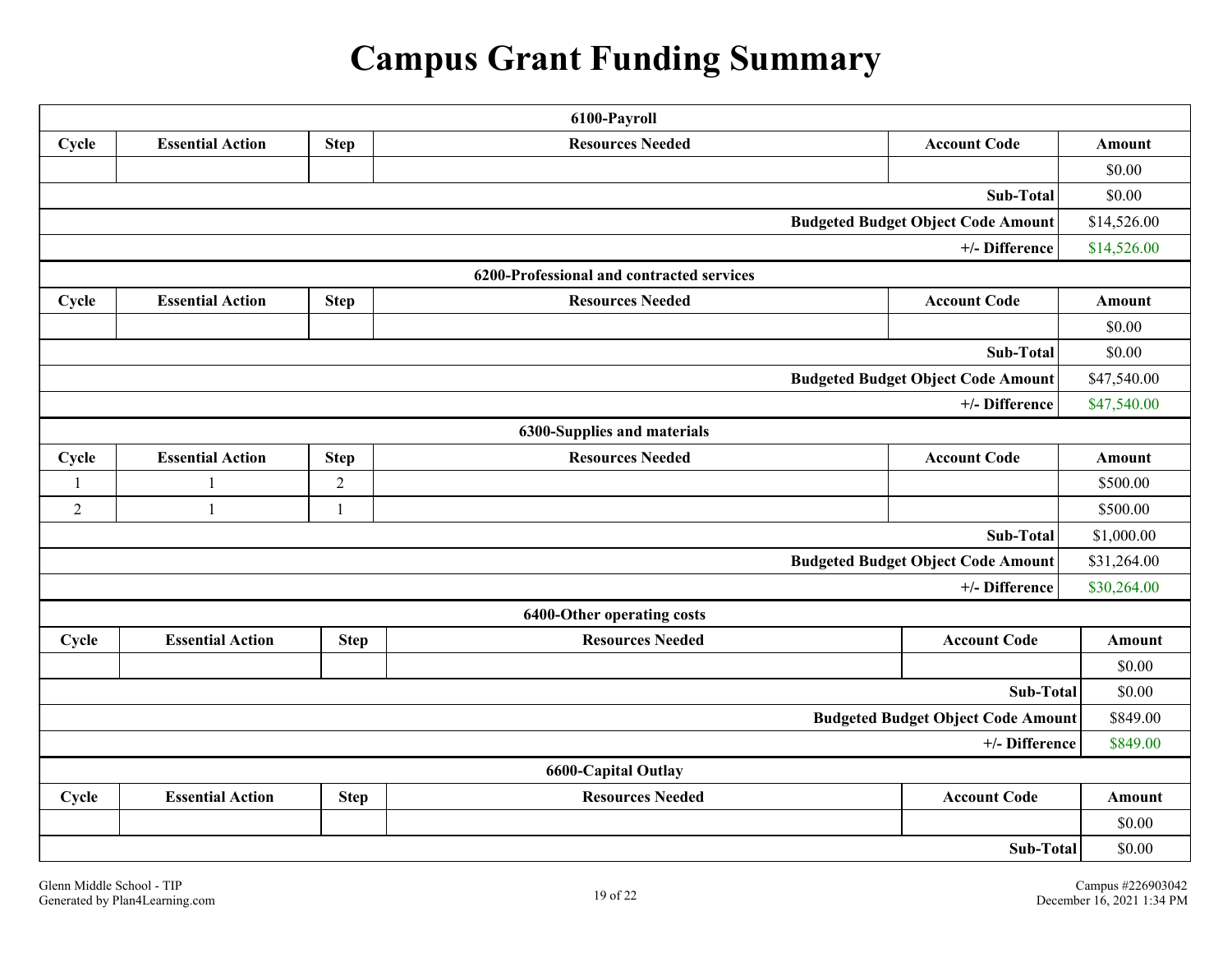# **Campus Grant Funding Summary**

| 6100-Payroll                              |                                                                                          |                |                                           |                                           |             |  |  |  |  |
|-------------------------------------------|------------------------------------------------------------------------------------------|----------------|-------------------------------------------|-------------------------------------------|-------------|--|--|--|--|
| Cycle                                     | <b>Essential Action</b><br><b>Resources Needed</b><br><b>Account Code</b><br><b>Step</b> |                |                                           |                                           |             |  |  |  |  |
|                                           |                                                                                          |                |                                           |                                           |             |  |  |  |  |
|                                           |                                                                                          |                |                                           | Sub-Total                                 | \$0.00      |  |  |  |  |
| <b>Budgeted Budget Object Code Amount</b> |                                                                                          |                |                                           |                                           |             |  |  |  |  |
|                                           |                                                                                          |                |                                           | +/- Difference                            | \$14,526.00 |  |  |  |  |
|                                           |                                                                                          |                | 6200-Professional and contracted services |                                           |             |  |  |  |  |
| Cycle                                     | <b>Essential Action</b>                                                                  | <b>Step</b>    | <b>Resources Needed</b>                   | <b>Account Code</b>                       | Amount      |  |  |  |  |
|                                           |                                                                                          |                |                                           |                                           | \$0.00      |  |  |  |  |
|                                           |                                                                                          |                |                                           | Sub-Total                                 | \$0.00      |  |  |  |  |
|                                           |                                                                                          |                |                                           | <b>Budgeted Budget Object Code Amount</b> | \$47,540.00 |  |  |  |  |
|                                           |                                                                                          |                |                                           | +/- Difference                            | \$47,540.00 |  |  |  |  |
|                                           |                                                                                          |                | 6300-Supplies and materials               |                                           |             |  |  |  |  |
| Cycle                                     | <b>Essential Action</b><br><b>Resources Needed</b><br><b>Account Code</b><br><b>Step</b> |                |                                           |                                           |             |  |  |  |  |
| 1                                         | 1                                                                                        | $\overline{2}$ |                                           |                                           | \$500.00    |  |  |  |  |
| 2                                         | $\mathbf{1}$<br>1                                                                        |                |                                           |                                           |             |  |  |  |  |
| Sub-Total                                 |                                                                                          |                |                                           |                                           |             |  |  |  |  |
|                                           |                                                                                          |                |                                           | <b>Budgeted Budget Object Code Amount</b> | \$31,264.00 |  |  |  |  |
|                                           |                                                                                          |                |                                           | +/- Difference                            | \$30,264.00 |  |  |  |  |
|                                           |                                                                                          |                | 6400-Other operating costs                |                                           |             |  |  |  |  |
| Cycle                                     | <b>Essential Action</b>                                                                  | <b>Step</b>    | <b>Resources Needed</b>                   | <b>Account Code</b>                       | Amount      |  |  |  |  |
|                                           |                                                                                          |                |                                           |                                           | \$0.00      |  |  |  |  |
|                                           |                                                                                          |                |                                           | Sub-Total                                 | \$0.00      |  |  |  |  |
| <b>Budgeted Budget Object Code Amount</b> |                                                                                          |                |                                           |                                           |             |  |  |  |  |
|                                           |                                                                                          |                |                                           | +/- Difference                            | \$849.00    |  |  |  |  |
| <b>6600-Capital Outlay</b>                |                                                                                          |                |                                           |                                           |             |  |  |  |  |
| Cycle                                     | <b>Essential Action</b>                                                                  | <b>Step</b>    | <b>Resources Needed</b>                   | <b>Account Code</b>                       | Amount      |  |  |  |  |
|                                           |                                                                                          |                |                                           |                                           | \$0.00      |  |  |  |  |
| Sub-Total                                 |                                                                                          |                |                                           |                                           |             |  |  |  |  |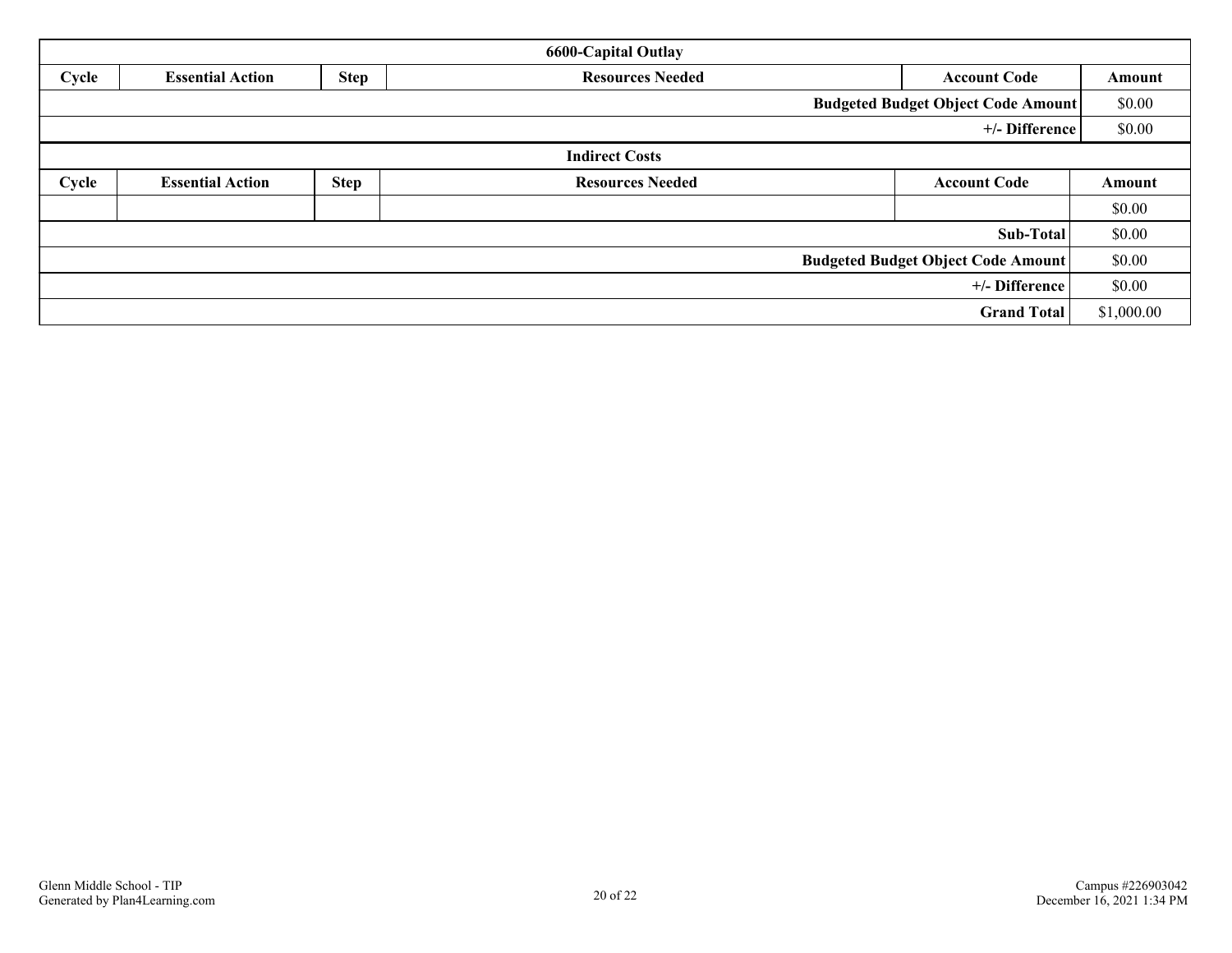| <b>6600-Capital Outlay</b>                |                                                                                          |             |                         |                                           |        |  |  |  |
|-------------------------------------------|------------------------------------------------------------------------------------------|-------------|-------------------------|-------------------------------------------|--------|--|--|--|
| Cycle                                     | <b>Essential Action</b><br><b>Step</b><br><b>Resources Needed</b><br><b>Account Code</b> |             |                         |                                           |        |  |  |  |
|                                           |                                                                                          |             |                         | <b>Budgeted Budget Object Code Amount</b> | \$0.00 |  |  |  |
|                                           |                                                                                          |             |                         | +/- Difference                            | \$0.00 |  |  |  |
|                                           |                                                                                          |             | <b>Indirect Costs</b>   |                                           |        |  |  |  |
| Cycle                                     | <b>Essential Action</b>                                                                  | <b>Step</b> | <b>Resources Needed</b> | <b>Account Code</b>                       | Amount |  |  |  |
|                                           |                                                                                          |             |                         |                                           | \$0.00 |  |  |  |
|                                           |                                                                                          |             |                         | Sub-Total                                 | \$0.00 |  |  |  |
| <b>Budgeted Budget Object Code Amount</b> |                                                                                          |             |                         |                                           |        |  |  |  |
| +/- Difference                            |                                                                                          |             |                         |                                           | \$0.00 |  |  |  |
| <b>Grand Total</b>                        |                                                                                          |             |                         |                                           |        |  |  |  |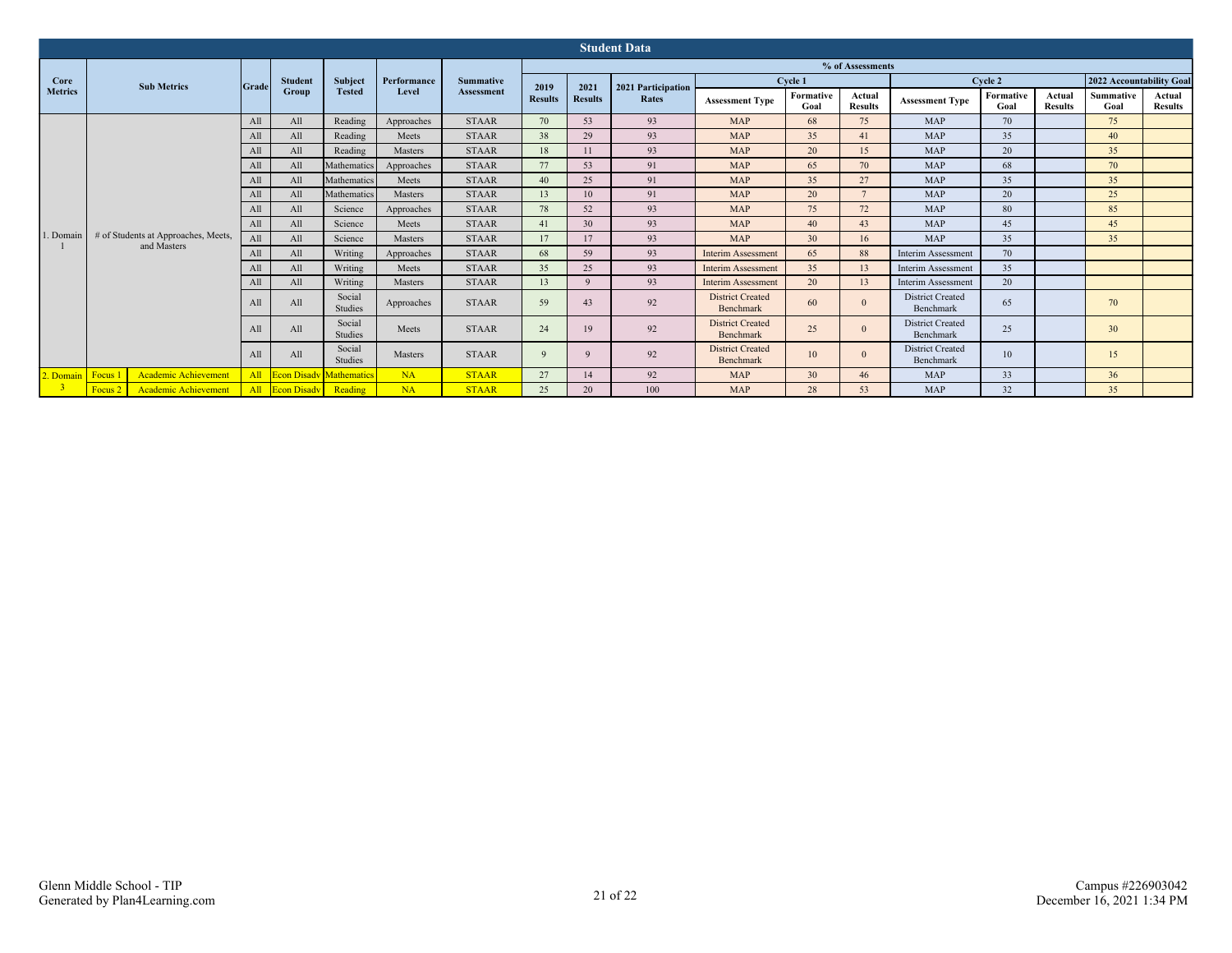| <b>Student Data</b> |                                                    |               |                    |                   |             |                  |                |                  |                             |                                      |                   |                          |                                      |                   |                          |                          |                          |
|---------------------|----------------------------------------------------|---------------|--------------------|-------------------|-------------|------------------|----------------|------------------|-----------------------------|--------------------------------------|-------------------|--------------------------|--------------------------------------|-------------------|--------------------------|--------------------------|--------------------------|
|                     |                                                    |               |                    |                   |             |                  |                | % of Assessments |                             |                                      |                   |                          |                                      |                   |                          |                          |                          |
| Core                | <b>Sub Metrics</b>                                 | <b>Scrade</b> | <b>Student</b>     | Subject           | Performance | <b>Summative</b> | 2019           | 2021             | 2021 Participation<br>Rates |                                      | Cycle 1           |                          |                                      | Cycle 2           |                          | 2022 Accountability Goal |                          |
| <b>Metrics</b>      |                                                    |               | <b>Group</b>       | <b>Tested</b>     | Level       | Assessment       | <b>Results</b> | <b>Results</b>   |                             | <b>Assessment Type</b>               | Formative<br>Goal | Actual<br><b>Results</b> | <b>Assessment Type</b>               | Formative<br>Goal | Actual<br><b>Results</b> | <b>Summative</b><br>Goal | Actual<br><b>Results</b> |
|                     |                                                    | All           | All                | Reading           | Approaches  | <b>STAAR</b>     | 70             | 53               | 93                          | <b>MAP</b>                           | 68                | 75                       | MAP                                  | 70                |                          | 75                       |                          |
|                     |                                                    | All           | All                | Reading           | Meets       | <b>STAAR</b>     | 38             | 29               | 93                          | <b>MAP</b>                           | 35                | 41                       | MAP                                  | 35                |                          | 40                       |                          |
|                     |                                                    | All           | All                | Reading           | Masters     | <b>STAAR</b>     | 18             | 11               | 93                          | <b>MAP</b>                           | 20                | 15                       | MAP                                  | 20 <sup>2</sup>   |                          | 35                       |                          |
|                     |                                                    | All           | All                | Mathematics       | Approaches  | <b>STAAR</b>     | 77             | 53               | 91                          | <b>MAP</b>                           | 65                | 70                       | MAP                                  | 68                |                          | 70                       |                          |
|                     |                                                    | All           | All                | Mathematics       | Meets       | <b>STAAR</b>     | 40             | 25               | 91                          | <b>MAP</b>                           | 35                | 27                       | MAP                                  | 35                |                          | 35                       |                          |
|                     |                                                    | All           | All                | Mathematics       | Masters     | <b>STAAR</b>     | 13             | 10               | 91                          | <b>MAP</b>                           | 20                | $\overline{7}$           | MAP                                  | 20                |                          | 25                       |                          |
|                     |                                                    | All           | All                | Science           | Approaches  | <b>STAAR</b>     | 78             | 52               | 93                          | <b>MAP</b>                           | 75                | 72                       | MAP                                  | 80                |                          | 85                       |                          |
|                     |                                                    | All           | All                | Science           | Meets       | <b>STAAR</b>     | 41             | 30               | 93                          | <b>MAP</b>                           | 40                | 43                       | MAP                                  | 45                |                          | 45                       |                          |
| 1. Domain           | # of Students at Approaches, Meets,<br>and Masters | All           | All                | Science           | Masters     | <b>STAAR</b>     | 17             | 17               | 93                          | <b>MAP</b>                           | 30 <sup>°</sup>   | 16                       | MAP                                  | 35                |                          | 35                       |                          |
|                     |                                                    | All           | All                | Writing           | Approaches  | <b>STAAR</b>     | 68             | 59               | 93                          | <b>Interim Assessment</b>            | 65                | 88                       | <b>Interim Assessment</b>            | 70                |                          |                          |                          |
|                     |                                                    | All           | All                | Writing           | Meets       | <b>STAAR</b>     | 35             | 25               | 93                          | <b>Interim Assessment</b>            | 35 <sup>5</sup>   | 13                       | <b>Interim Assessment</b>            | 35                |                          |                          |                          |
|                     |                                                    | All           | All                | Writing           | Masters     | <b>STAAR</b>     | 13             | $\Omega$         | 93                          | <b>Interim Assessment</b>            | 20                | 13                       | Interim Assessment                   | 20                |                          |                          |                          |
|                     |                                                    | All           | All                | Social<br>Studies | Approaches  | <b>STAAR</b>     | 59             | 43               | 92                          | <b>District Created</b><br>Benchmark | 60                | $\overline{0}$           | <b>District Created</b><br>Benchmark | 65                |                          | 70                       |                          |
|                     |                                                    | All           | All                | Social<br>Studies | Meets       | <b>STAAR</b>     | 24             | 19               | 92                          | <b>District Created</b><br>Benchmark | 25                | $\Omega$                 | <b>District Created</b><br>Benchmark | 2.5               |                          | 30                       |                          |
|                     |                                                    | All           | All                | Social<br>Studies | Masters     | <b>STAAR</b>     | $\mathbf{Q}$   | $\mathbf Q$      | 92                          | <b>District Created</b><br>Benchmark | 10                | $\theta$                 | <b>District Created</b><br>Benchmark | 10                |                          | 15                       |                          |
| 2. Domain           | <b>Academic Achievement</b><br>Focus 1             | All           | <b>Econ Disadv</b> | Mathematics       | NA          | <b>STAAR</b>     | 27             | 14               | 92                          | <b>MAP</b>                           | 30 <sup>°</sup>   | 46                       | MAP                                  | 33                |                          | 36                       |                          |
|                     | <b>Academic Achievement</b><br>Focus 2             | All           | <b>Econ Disady</b> | Reading           | NA          | <b>STAAR</b>     | 25             | 20               | 100                         | <b>MAP</b>                           | 28                | 53                       | MAP                                  | 32                |                          | 35                       |                          |